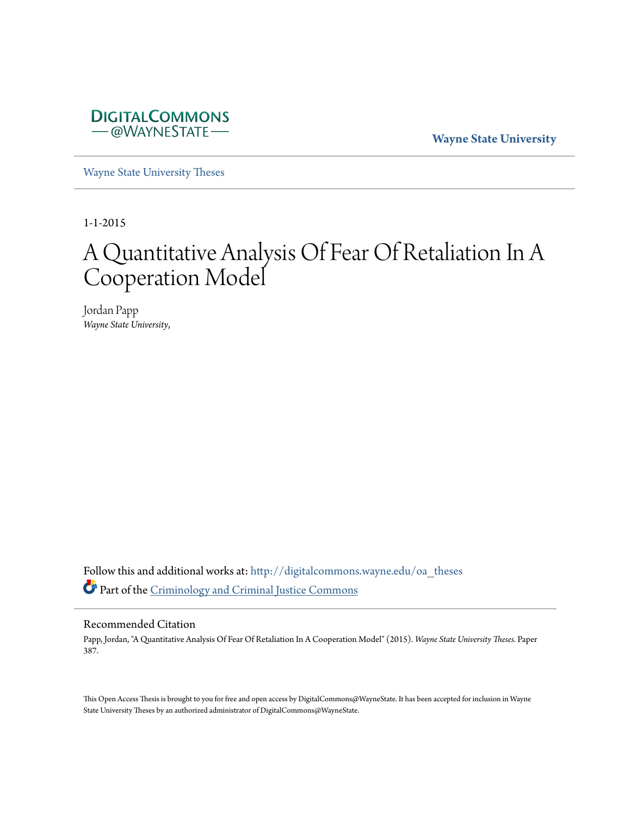

**Wayne State University**

[Wayne State University Theses](http://digitalcommons.wayne.edu/oa_theses?utm_source=digitalcommons.wayne.edu%2Foa_theses%2F387&utm_medium=PDF&utm_campaign=PDFCoverPages)

1-1-2015

# A Quantitative Analysis Of Fear Of Retaliation In A Cooperation Model

Jordan Papp *Wayne State University*,

Follow this and additional works at: [http://digitalcommons.wayne.edu/oa\\_theses](http://digitalcommons.wayne.edu/oa_theses?utm_source=digitalcommons.wayne.edu%2Foa_theses%2F387&utm_medium=PDF&utm_campaign=PDFCoverPages) Part of the [Criminology and Criminal Justice Commons](http://network.bepress.com/hgg/discipline/367?utm_source=digitalcommons.wayne.edu%2Foa_theses%2F387&utm_medium=PDF&utm_campaign=PDFCoverPages)

#### Recommended Citation

Papp, Jordan, "A Quantitative Analysis Of Fear Of Retaliation In A Cooperation Model" (2015). *Wayne State University Theses.* Paper 387.

This Open Access Thesis is brought to you for free and open access by DigitalCommons@WayneState. It has been accepted for inclusion in Wayne State University Theses by an authorized administrator of DigitalCommons@WayneState.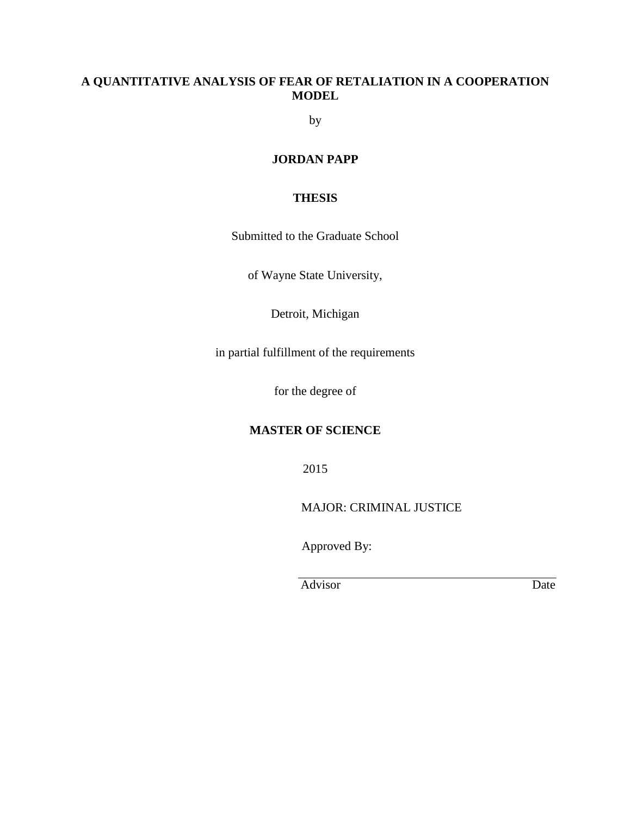## **A QUANTITATIVE ANALYSIS OF FEAR OF RETALIATION IN A COOPERATION MODEL**

by

### **JORDAN PAPP**

#### **THESIS**

Submitted to the Graduate School

of Wayne State University,

Detroit, Michigan

in partial fulfillment of the requirements

for the degree of

#### **MASTER OF SCIENCE**

2015

MAJOR: CRIMINAL JUSTICE

Approved By:

Advisor Date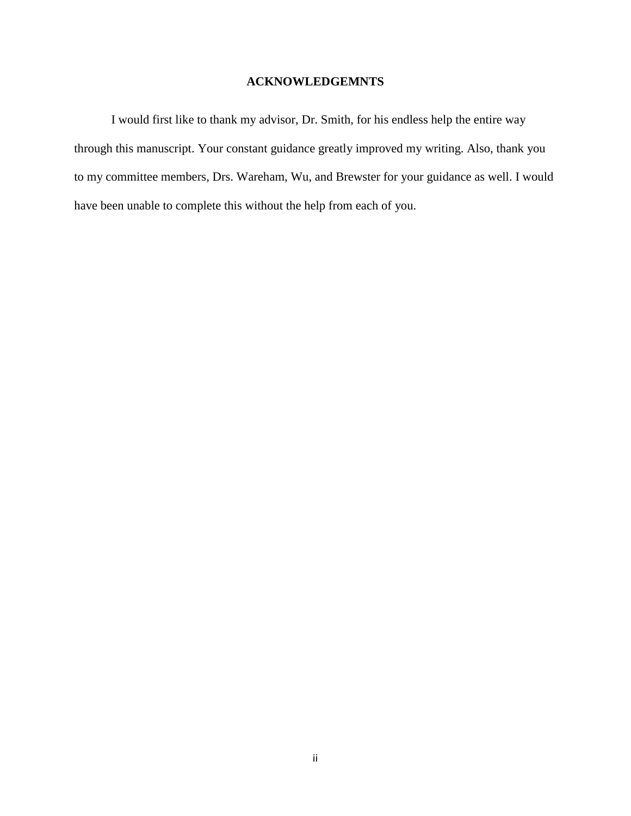#### **ACKNOWLEDGEMNTS**

I would first like to thank my advisor, Dr. Smith, for his endless help the entire way through this manuscript. Your constant guidance greatly improved my writing. Also, thank you to my committee members, Drs. Wareham, Wu, and Brewster for your guidance as well. I would have been unable to complete this without the help from each of you.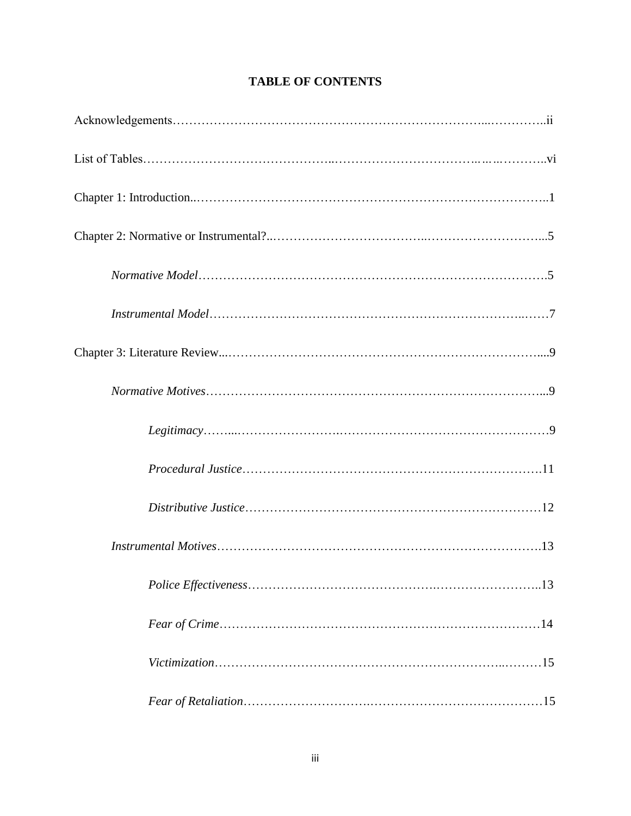|  | <b>TABLE OF CONTENTS</b> |
|--|--------------------------|
|--|--------------------------|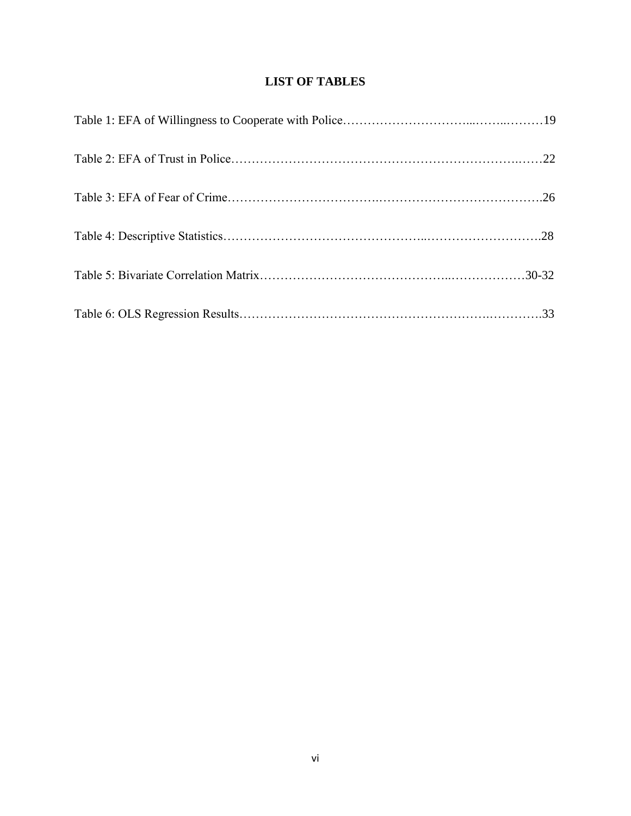## **LIST OF TABLES**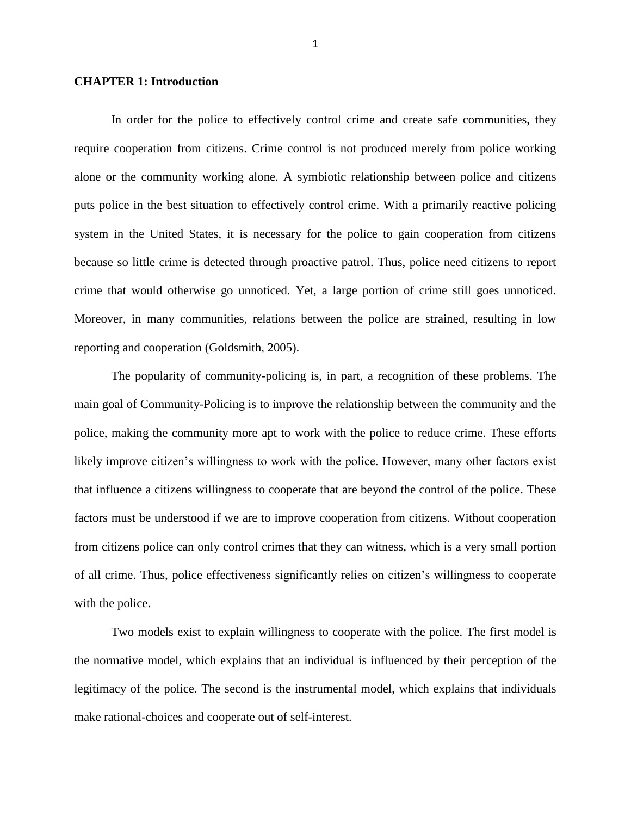#### **CHAPTER 1: Introduction**

In order for the police to effectively control crime and create safe communities, they require cooperation from citizens. Crime control is not produced merely from police working alone or the community working alone. A symbiotic relationship between police and citizens puts police in the best situation to effectively control crime. With a primarily reactive policing system in the United States, it is necessary for the police to gain cooperation from citizens because so little crime is detected through proactive patrol. Thus, police need citizens to report crime that would otherwise go unnoticed. Yet, a large portion of crime still goes unnoticed. Moreover, in many communities, relations between the police are strained, resulting in low reporting and cooperation (Goldsmith, 2005).

The popularity of community-policing is, in part, a recognition of these problems. The main goal of Community-Policing is to improve the relationship between the community and the police, making the community more apt to work with the police to reduce crime. These efforts likely improve citizen's willingness to work with the police. However, many other factors exist that influence a citizens willingness to cooperate that are beyond the control of the police. These factors must be understood if we are to improve cooperation from citizens. Without cooperation from citizens police can only control crimes that they can witness, which is a very small portion of all crime. Thus, police effectiveness significantly relies on citizen's willingness to cooperate with the police.

Two models exist to explain willingness to cooperate with the police. The first model is the normative model, which explains that an individual is influenced by their perception of the legitimacy of the police. The second is the instrumental model, which explains that individuals make rational-choices and cooperate out of self-interest.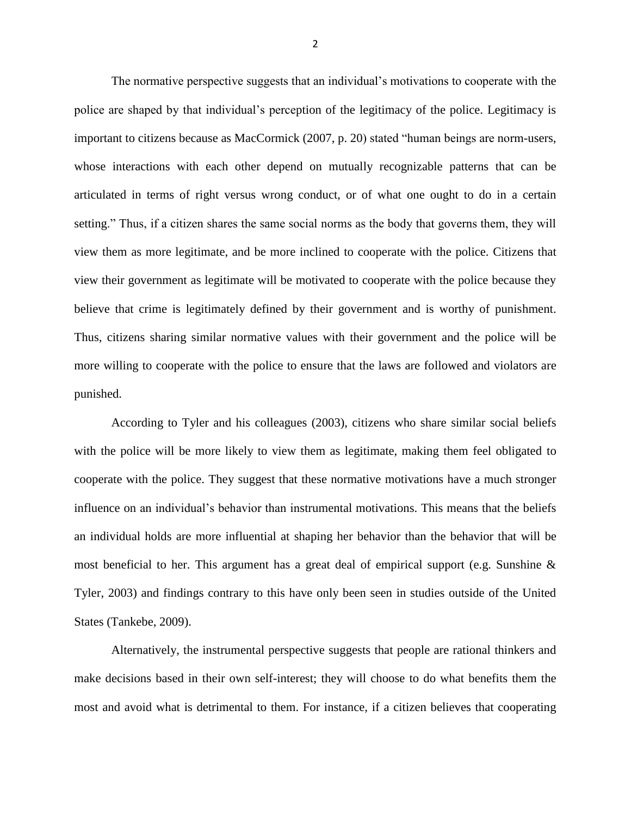The normative perspective suggests that an individual's motivations to cooperate with the police are shaped by that individual's perception of the legitimacy of the police. Legitimacy is important to citizens because as MacCormick (2007, p. 20) stated "human beings are norm-users, whose interactions with each other depend on mutually recognizable patterns that can be articulated in terms of right versus wrong conduct, or of what one ought to do in a certain setting." Thus, if a citizen shares the same social norms as the body that governs them, they will view them as more legitimate, and be more inclined to cooperate with the police. Citizens that view their government as legitimate will be motivated to cooperate with the police because they believe that crime is legitimately defined by their government and is worthy of punishment. Thus, citizens sharing similar normative values with their government and the police will be more willing to cooperate with the police to ensure that the laws are followed and violators are punished.

According to Tyler and his colleagues (2003), citizens who share similar social beliefs with the police will be more likely to view them as legitimate, making them feel obligated to cooperate with the police. They suggest that these normative motivations have a much stronger influence on an individual's behavior than instrumental motivations. This means that the beliefs an individual holds are more influential at shaping her behavior than the behavior that will be most beneficial to her. This argument has a great deal of empirical support (e.g. Sunshine & Tyler, 2003) and findings contrary to this have only been seen in studies outside of the United States (Tankebe, 2009).

Alternatively, the instrumental perspective suggests that people are rational thinkers and make decisions based in their own self-interest; they will choose to do what benefits them the most and avoid what is detrimental to them. For instance, if a citizen believes that cooperating

2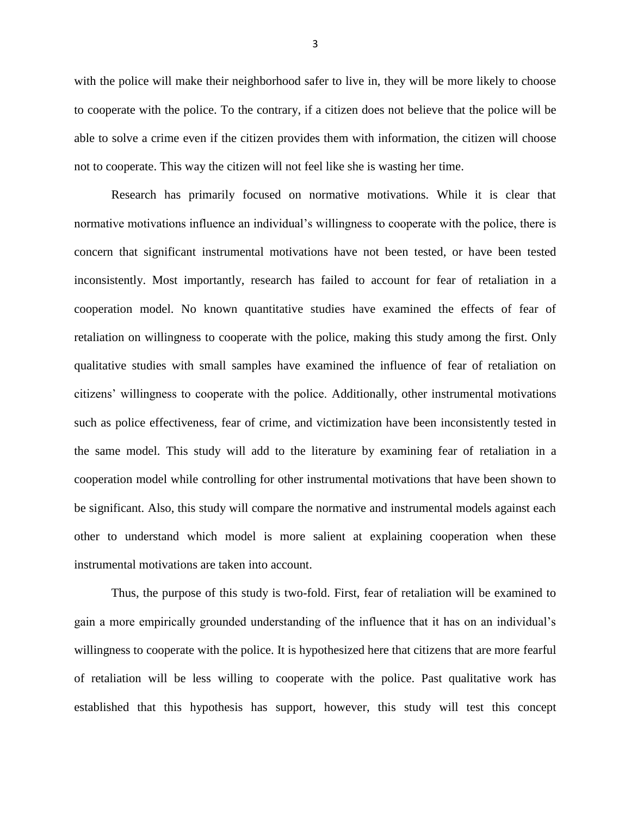with the police will make their neighborhood safer to live in, they will be more likely to choose to cooperate with the police. To the contrary, if a citizen does not believe that the police will be able to solve a crime even if the citizen provides them with information, the citizen will choose not to cooperate. This way the citizen will not feel like she is wasting her time.

Research has primarily focused on normative motivations. While it is clear that normative motivations influence an individual's willingness to cooperate with the police, there is concern that significant instrumental motivations have not been tested, or have been tested inconsistently. Most importantly, research has failed to account for fear of retaliation in a cooperation model. No known quantitative studies have examined the effects of fear of retaliation on willingness to cooperate with the police, making this study among the first. Only qualitative studies with small samples have examined the influence of fear of retaliation on citizens' willingness to cooperate with the police. Additionally, other instrumental motivations such as police effectiveness, fear of crime, and victimization have been inconsistently tested in the same model. This study will add to the literature by examining fear of retaliation in a cooperation model while controlling for other instrumental motivations that have been shown to be significant. Also, this study will compare the normative and instrumental models against each other to understand which model is more salient at explaining cooperation when these instrumental motivations are taken into account.

Thus, the purpose of this study is two-fold. First, fear of retaliation will be examined to gain a more empirically grounded understanding of the influence that it has on an individual's willingness to cooperate with the police. It is hypothesized here that citizens that are more fearful of retaliation will be less willing to cooperate with the police. Past qualitative work has established that this hypothesis has support, however, this study will test this concept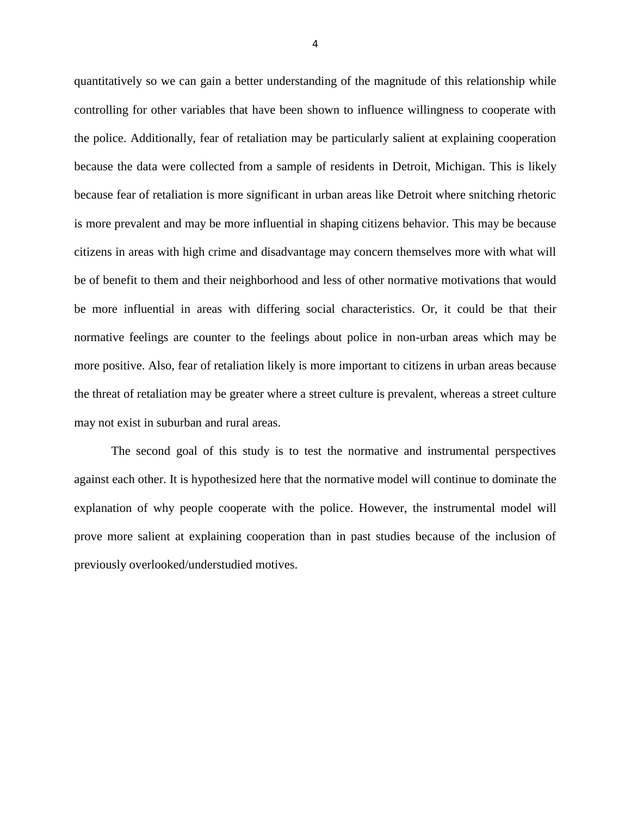quantitatively so we can gain a better understanding of the magnitude of this relationship while controlling for other variables that have been shown to influence willingness to cooperate with the police. Additionally, fear of retaliation may be particularly salient at explaining cooperation because the data were collected from a sample of residents in Detroit, Michigan. This is likely because fear of retaliation is more significant in urban areas like Detroit where snitching rhetoric is more prevalent and may be more influential in shaping citizens behavior. This may be because citizens in areas with high crime and disadvantage may concern themselves more with what will be of benefit to them and their neighborhood and less of other normative motivations that would be more influential in areas with differing social characteristics. Or, it could be that their normative feelings are counter to the feelings about police in non-urban areas which may be more positive. Also, fear of retaliation likely is more important to citizens in urban areas because the threat of retaliation may be greater where a street culture is prevalent, whereas a street culture may not exist in suburban and rural areas.

The second goal of this study is to test the normative and instrumental perspectives against each other. It is hypothesized here that the normative model will continue to dominate the explanation of why people cooperate with the police. However, the instrumental model will prove more salient at explaining cooperation than in past studies because of the inclusion of previously overlooked/understudied motives.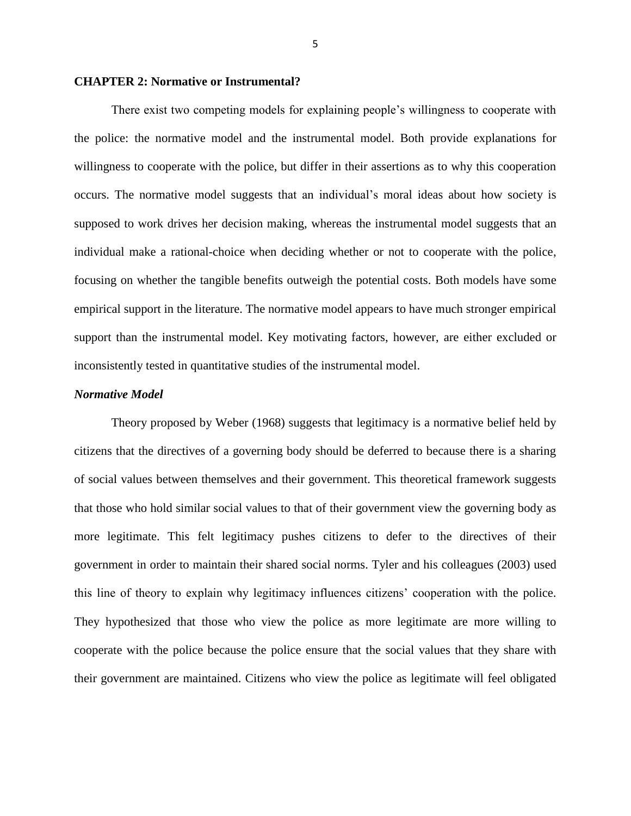#### **CHAPTER 2: Normative or Instrumental?**

There exist two competing models for explaining people's willingness to cooperate with the police: the normative model and the instrumental model. Both provide explanations for willingness to cooperate with the police, but differ in their assertions as to why this cooperation occurs. The normative model suggests that an individual's moral ideas about how society is supposed to work drives her decision making, whereas the instrumental model suggests that an individual make a rational-choice when deciding whether or not to cooperate with the police, focusing on whether the tangible benefits outweigh the potential costs. Both models have some empirical support in the literature. The normative model appears to have much stronger empirical support than the instrumental model. Key motivating factors, however, are either excluded or inconsistently tested in quantitative studies of the instrumental model.

#### *Normative Model*

Theory proposed by Weber (1968) suggests that legitimacy is a normative belief held by citizens that the directives of a governing body should be deferred to because there is a sharing of social values between themselves and their government. This theoretical framework suggests that those who hold similar social values to that of their government view the governing body as more legitimate. This felt legitimacy pushes citizens to defer to the directives of their government in order to maintain their shared social norms. Tyler and his colleagues (2003) used this line of theory to explain why legitimacy influences citizens' cooperation with the police. They hypothesized that those who view the police as more legitimate are more willing to cooperate with the police because the police ensure that the social values that they share with their government are maintained. Citizens who view the police as legitimate will feel obligated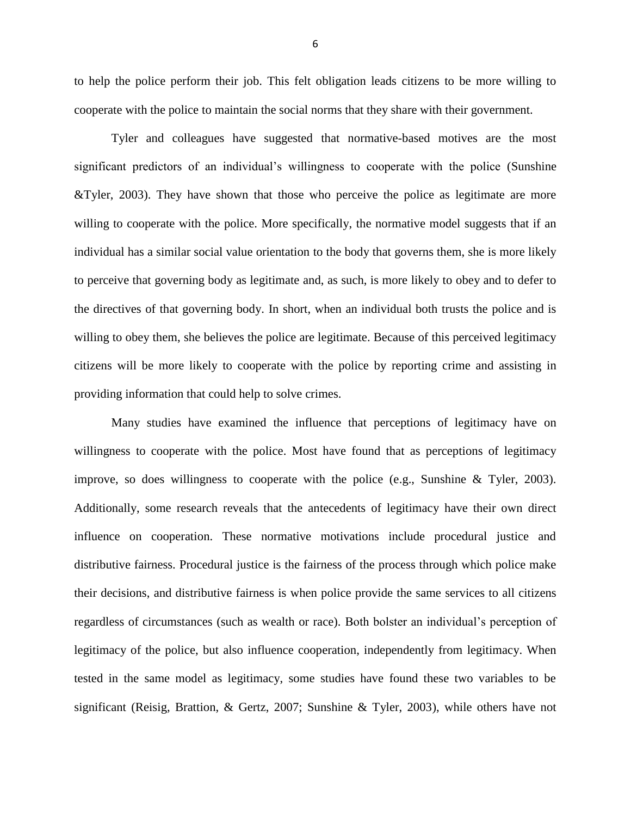to help the police perform their job. This felt obligation leads citizens to be more willing to cooperate with the police to maintain the social norms that they share with their government.

Tyler and colleagues have suggested that normative-based motives are the most significant predictors of an individual's willingness to cooperate with the police (Sunshine &Tyler, 2003). They have shown that those who perceive the police as legitimate are more willing to cooperate with the police. More specifically, the normative model suggests that if an individual has a similar social value orientation to the body that governs them, she is more likely to perceive that governing body as legitimate and, as such, is more likely to obey and to defer to the directives of that governing body. In short, when an individual both trusts the police and is willing to obey them, she believes the police are legitimate. Because of this perceived legitimacy citizens will be more likely to cooperate with the police by reporting crime and assisting in providing information that could help to solve crimes.

Many studies have examined the influence that perceptions of legitimacy have on willingness to cooperate with the police. Most have found that as perceptions of legitimacy improve, so does willingness to cooperate with the police (e.g., Sunshine & Tyler, 2003). Additionally, some research reveals that the antecedents of legitimacy have their own direct influence on cooperation. These normative motivations include procedural justice and distributive fairness. Procedural justice is the fairness of the process through which police make their decisions, and distributive fairness is when police provide the same services to all citizens regardless of circumstances (such as wealth or race). Both bolster an individual's perception of legitimacy of the police, but also influence cooperation, independently from legitimacy. When tested in the same model as legitimacy, some studies have found these two variables to be significant (Reisig, Brattion, & Gertz, 2007; Sunshine & Tyler, 2003), while others have not

6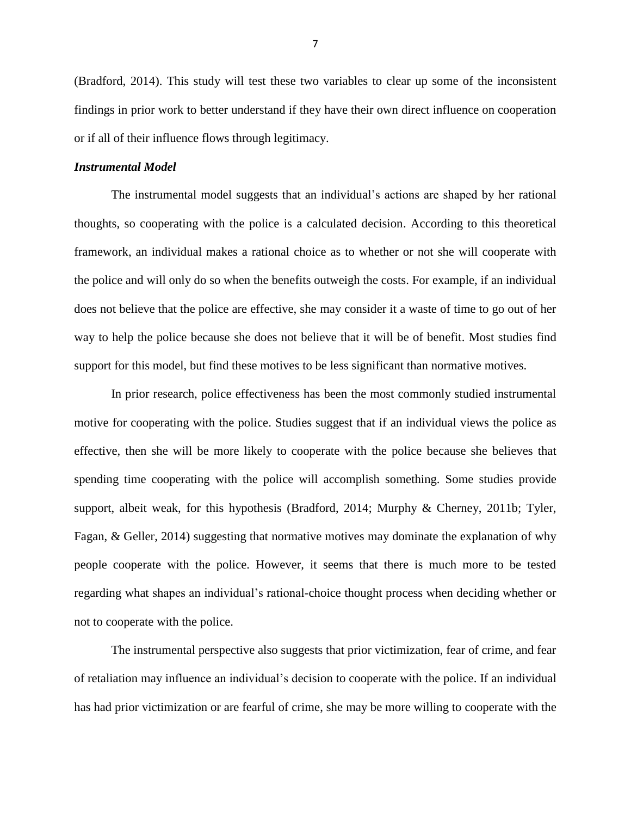(Bradford, 2014). This study will test these two variables to clear up some of the inconsistent findings in prior work to better understand if they have their own direct influence on cooperation or if all of their influence flows through legitimacy.

#### *Instrumental Model*

The instrumental model suggests that an individual's actions are shaped by her rational thoughts, so cooperating with the police is a calculated decision. According to this theoretical framework, an individual makes a rational choice as to whether or not she will cooperate with the police and will only do so when the benefits outweigh the costs. For example, if an individual does not believe that the police are effective, she may consider it a waste of time to go out of her way to help the police because she does not believe that it will be of benefit. Most studies find support for this model, but find these motives to be less significant than normative motives.

In prior research, police effectiveness has been the most commonly studied instrumental motive for cooperating with the police. Studies suggest that if an individual views the police as effective, then she will be more likely to cooperate with the police because she believes that spending time cooperating with the police will accomplish something. Some studies provide support, albeit weak, for this hypothesis (Bradford, 2014; Murphy & Cherney, 2011b; Tyler, Fagan, & Geller, 2014) suggesting that normative motives may dominate the explanation of why people cooperate with the police. However, it seems that there is much more to be tested regarding what shapes an individual's rational-choice thought process when deciding whether or not to cooperate with the police.

The instrumental perspective also suggests that prior victimization, fear of crime, and fear of retaliation may influence an individual's decision to cooperate with the police. If an individual has had prior victimization or are fearful of crime, she may be more willing to cooperate with the

7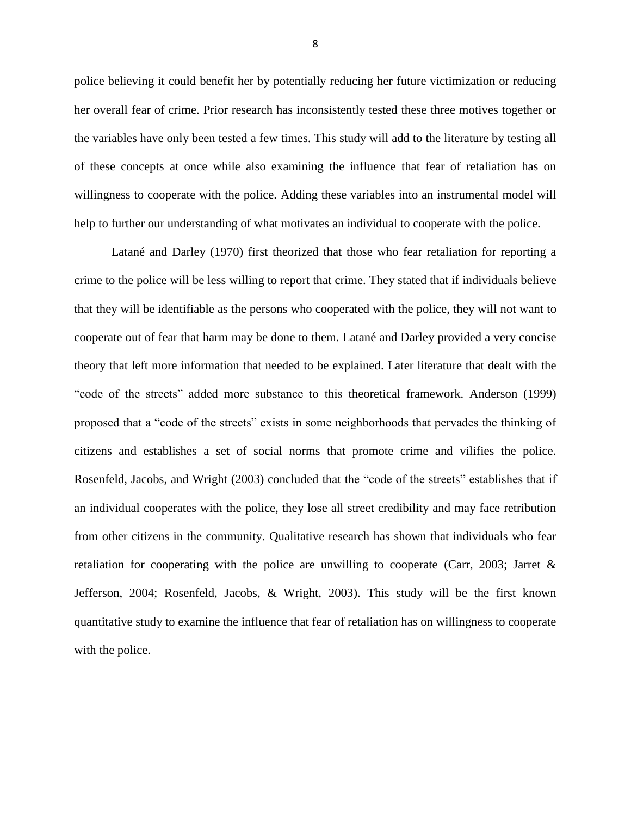police believing it could benefit her by potentially reducing her future victimization or reducing her overall fear of crime. Prior research has inconsistently tested these three motives together or the variables have only been tested a few times. This study will add to the literature by testing all of these concepts at once while also examining the influence that fear of retaliation has on willingness to cooperate with the police. Adding these variables into an instrumental model will help to further our understanding of what motivates an individual to cooperate with the police.

Latané and Darley (1970) first theorized that those who fear retaliation for reporting a crime to the police will be less willing to report that crime. They stated that if individuals believe that they will be identifiable as the persons who cooperated with the police, they will not want to cooperate out of fear that harm may be done to them. Latané and Darley provided a very concise theory that left more information that needed to be explained. Later literature that dealt with the "code of the streets" added more substance to this theoretical framework. Anderson (1999) proposed that a "code of the streets" exists in some neighborhoods that pervades the thinking of citizens and establishes a set of social norms that promote crime and vilifies the police. Rosenfeld, Jacobs, and Wright (2003) concluded that the "code of the streets" establishes that if an individual cooperates with the police, they lose all street credibility and may face retribution from other citizens in the community. Qualitative research has shown that individuals who fear retaliation for cooperating with the police are unwilling to cooperate (Carr, 2003; Jarret & Jefferson, 2004; Rosenfeld, Jacobs, & Wright, 2003). This study will be the first known quantitative study to examine the influence that fear of retaliation has on willingness to cooperate with the police.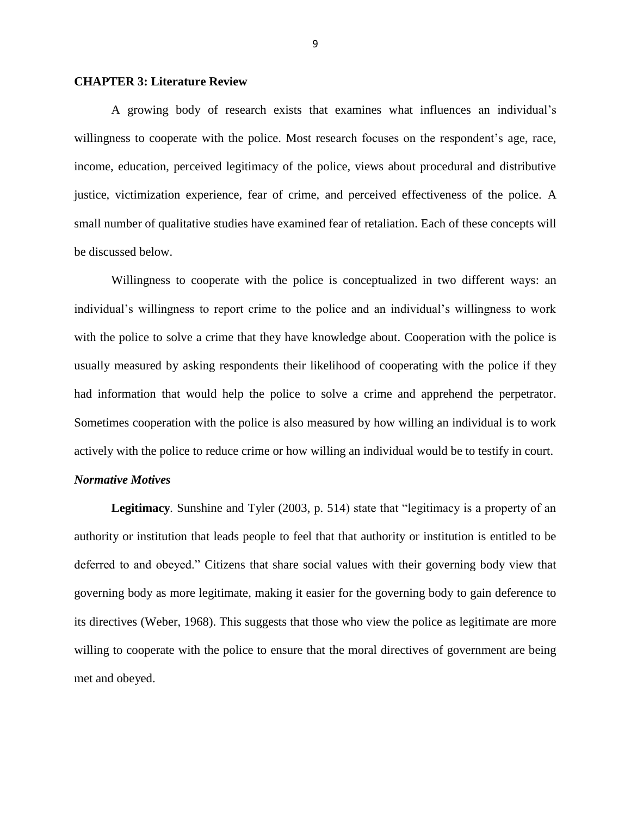#### **CHAPTER 3: Literature Review**

A growing body of research exists that examines what influences an individual's willingness to cooperate with the police. Most research focuses on the respondent's age, race, income, education, perceived legitimacy of the police, views about procedural and distributive justice, victimization experience, fear of crime, and perceived effectiveness of the police. A small number of qualitative studies have examined fear of retaliation. Each of these concepts will be discussed below.

Willingness to cooperate with the police is conceptualized in two different ways: an individual's willingness to report crime to the police and an individual's willingness to work with the police to solve a crime that they have knowledge about. Cooperation with the police is usually measured by asking respondents their likelihood of cooperating with the police if they had information that would help the police to solve a crime and apprehend the perpetrator. Sometimes cooperation with the police is also measured by how willing an individual is to work actively with the police to reduce crime or how willing an individual would be to testify in court.

#### *Normative Motives*

**Legitimacy***.* Sunshine and Tyler (2003, p. 514) state that "legitimacy is a property of an authority or institution that leads people to feel that that authority or institution is entitled to be deferred to and obeyed." Citizens that share social values with their governing body view that governing body as more legitimate, making it easier for the governing body to gain deference to its directives (Weber, 1968). This suggests that those who view the police as legitimate are more willing to cooperate with the police to ensure that the moral directives of government are being met and obeyed.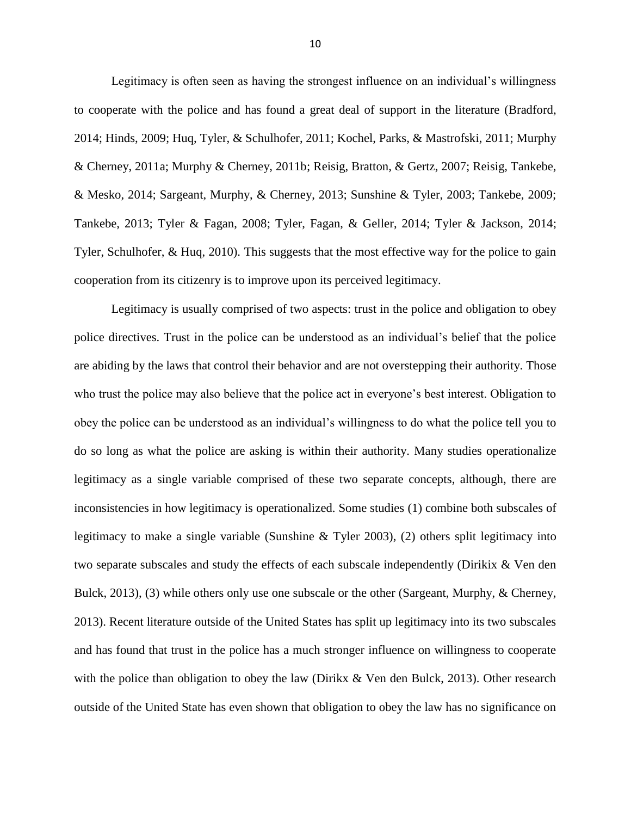Legitimacy is often seen as having the strongest influence on an individual's willingness to cooperate with the police and has found a great deal of support in the literature (Bradford, 2014; Hinds, 2009; Huq, Tyler, & Schulhofer, 2011; Kochel, Parks, & Mastrofski, 2011; Murphy & Cherney, 2011a; Murphy & Cherney, 2011b; Reisig, Bratton, & Gertz, 2007; Reisig, Tankebe, & Mesko, 2014; Sargeant, Murphy, & Cherney, 2013; Sunshine & Tyler, 2003; Tankebe, 2009; Tankebe, 2013; Tyler & Fagan, 2008; Tyler, Fagan, & Geller, 2014; Tyler & Jackson, 2014; Tyler, Schulhofer, & Huq, 2010). This suggests that the most effective way for the police to gain cooperation from its citizenry is to improve upon its perceived legitimacy.

Legitimacy is usually comprised of two aspects: trust in the police and obligation to obey police directives. Trust in the police can be understood as an individual's belief that the police are abiding by the laws that control their behavior and are not overstepping their authority. Those who trust the police may also believe that the police act in everyone's best interest. Obligation to obey the police can be understood as an individual's willingness to do what the police tell you to do so long as what the police are asking is within their authority. Many studies operationalize legitimacy as a single variable comprised of these two separate concepts, although, there are inconsistencies in how legitimacy is operationalized. Some studies (1) combine both subscales of legitimacy to make a single variable (Sunshine  $\&$  Tyler 2003), (2) others split legitimacy into two separate subscales and study the effects of each subscale independently (Dirikix & Ven den Bulck, 2013), (3) while others only use one subscale or the other (Sargeant, Murphy, & Cherney, 2013). Recent literature outside of the United States has split up legitimacy into its two subscales and has found that trust in the police has a much stronger influence on willingness to cooperate with the police than obligation to obey the law (Dirikx & Ven den Bulck, 2013). Other research outside of the United State has even shown that obligation to obey the law has no significance on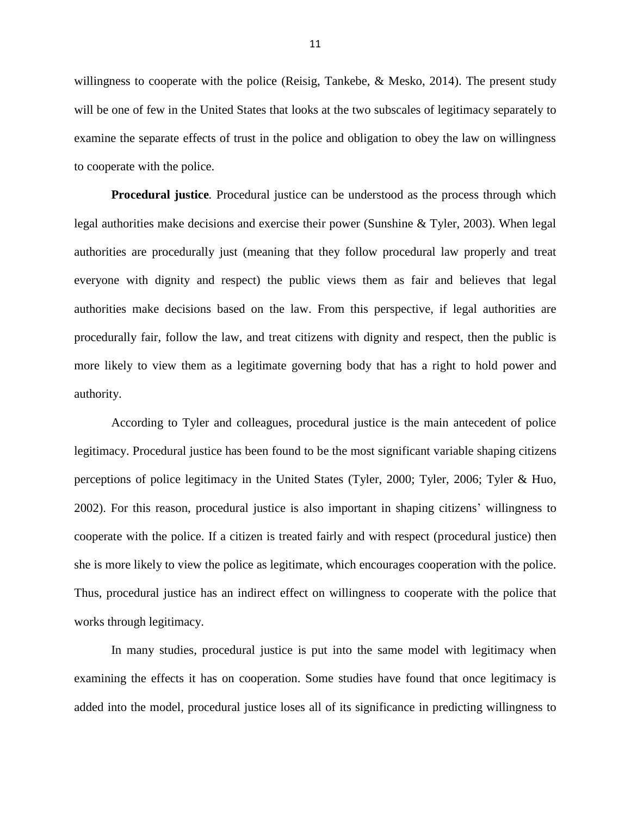willingness to cooperate with the police (Reisig, Tankebe, & Mesko, 2014). The present study will be one of few in the United States that looks at the two subscales of legitimacy separately to examine the separate effects of trust in the police and obligation to obey the law on willingness to cooperate with the police.

**Procedural justice***.* Procedural justice can be understood as the process through which legal authorities make decisions and exercise their power (Sunshine & Tyler, 2003). When legal authorities are procedurally just (meaning that they follow procedural law properly and treat everyone with dignity and respect) the public views them as fair and believes that legal authorities make decisions based on the law. From this perspective, if legal authorities are procedurally fair, follow the law, and treat citizens with dignity and respect, then the public is more likely to view them as a legitimate governing body that has a right to hold power and authority.

According to Tyler and colleagues, procedural justice is the main antecedent of police legitimacy. Procedural justice has been found to be the most significant variable shaping citizens perceptions of police legitimacy in the United States (Tyler, 2000; Tyler, 2006; Tyler & Huo, 2002). For this reason, procedural justice is also important in shaping citizens' willingness to cooperate with the police. If a citizen is treated fairly and with respect (procedural justice) then she is more likely to view the police as legitimate, which encourages cooperation with the police. Thus, procedural justice has an indirect effect on willingness to cooperate with the police that works through legitimacy.

In many studies, procedural justice is put into the same model with legitimacy when examining the effects it has on cooperation. Some studies have found that once legitimacy is added into the model, procedural justice loses all of its significance in predicting willingness to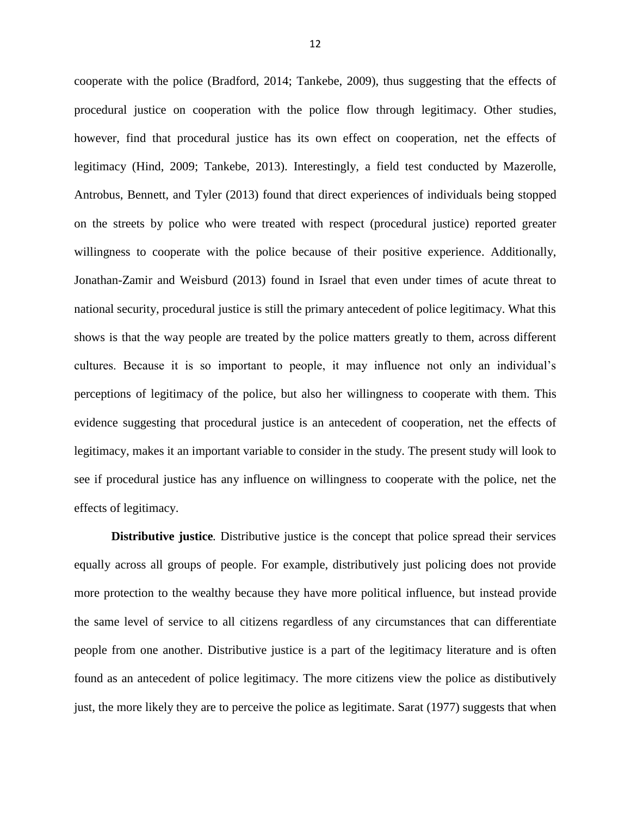cooperate with the police (Bradford, 2014; Tankebe, 2009), thus suggesting that the effects of procedural justice on cooperation with the police flow through legitimacy. Other studies, however, find that procedural justice has its own effect on cooperation, net the effects of legitimacy (Hind, 2009; Tankebe, 2013). Interestingly, a field test conducted by Mazerolle, Antrobus, Bennett, and Tyler (2013) found that direct experiences of individuals being stopped on the streets by police who were treated with respect (procedural justice) reported greater willingness to cooperate with the police because of their positive experience. Additionally, Jonathan-Zamir and Weisburd (2013) found in Israel that even under times of acute threat to national security, procedural justice is still the primary antecedent of police legitimacy. What this shows is that the way people are treated by the police matters greatly to them, across different cultures. Because it is so important to people, it may influence not only an individual's perceptions of legitimacy of the police, but also her willingness to cooperate with them. This evidence suggesting that procedural justice is an antecedent of cooperation, net the effects of legitimacy, makes it an important variable to consider in the study. The present study will look to see if procedural justice has any influence on willingness to cooperate with the police, net the effects of legitimacy.

**Distributive justice***.* Distributive justice is the concept that police spread their services equally across all groups of people. For example, distributively just policing does not provide more protection to the wealthy because they have more political influence, but instead provide the same level of service to all citizens regardless of any circumstances that can differentiate people from one another. Distributive justice is a part of the legitimacy literature and is often found as an antecedent of police legitimacy. The more citizens view the police as distibutively just, the more likely they are to perceive the police as legitimate. Sarat (1977) suggests that when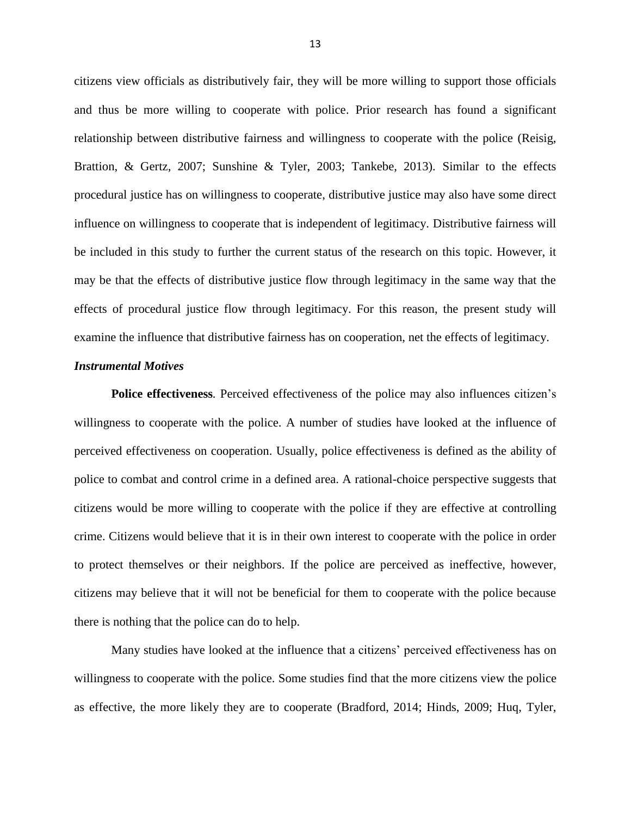citizens view officials as distributively fair, they will be more willing to support those officials and thus be more willing to cooperate with police. Prior research has found a significant relationship between distributive fairness and willingness to cooperate with the police (Reisig, Brattion, & Gertz, 2007; Sunshine & Tyler, 2003; Tankebe, 2013). Similar to the effects procedural justice has on willingness to cooperate, distributive justice may also have some direct influence on willingness to cooperate that is independent of legitimacy. Distributive fairness will be included in this study to further the current status of the research on this topic. However, it may be that the effects of distributive justice flow through legitimacy in the same way that the effects of procedural justice flow through legitimacy. For this reason, the present study will examine the influence that distributive fairness has on cooperation, net the effects of legitimacy.

#### *Instrumental Motives*

**Police effectiveness***.* Perceived effectiveness of the police may also influences citizen's willingness to cooperate with the police. A number of studies have looked at the influence of perceived effectiveness on cooperation. Usually, police effectiveness is defined as the ability of police to combat and control crime in a defined area. A rational-choice perspective suggests that citizens would be more willing to cooperate with the police if they are effective at controlling crime. Citizens would believe that it is in their own interest to cooperate with the police in order to protect themselves or their neighbors. If the police are perceived as ineffective, however, citizens may believe that it will not be beneficial for them to cooperate with the police because there is nothing that the police can do to help.

Many studies have looked at the influence that a citizens' perceived effectiveness has on willingness to cooperate with the police. Some studies find that the more citizens view the police as effective, the more likely they are to cooperate (Bradford, 2014; Hinds, 2009; Huq, Tyler,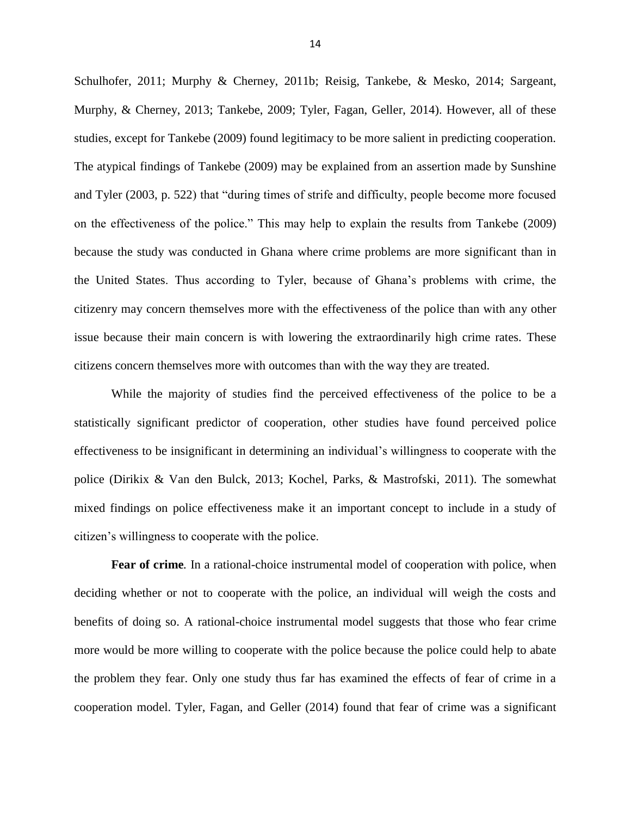Schulhofer, 2011; Murphy & Cherney, 2011b; Reisig, Tankebe, & Mesko, 2014; Sargeant, Murphy, & Cherney, 2013; Tankebe, 2009; Tyler, Fagan, Geller, 2014). However, all of these studies, except for Tankebe (2009) found legitimacy to be more salient in predicting cooperation. The atypical findings of Tankebe (2009) may be explained from an assertion made by Sunshine and Tyler (2003, p. 522) that "during times of strife and difficulty, people become more focused on the effectiveness of the police." This may help to explain the results from Tankebe (2009) because the study was conducted in Ghana where crime problems are more significant than in the United States. Thus according to Tyler, because of Ghana's problems with crime, the citizenry may concern themselves more with the effectiveness of the police than with any other issue because their main concern is with lowering the extraordinarily high crime rates. These citizens concern themselves more with outcomes than with the way they are treated.

While the majority of studies find the perceived effectiveness of the police to be a statistically significant predictor of cooperation, other studies have found perceived police effectiveness to be insignificant in determining an individual's willingness to cooperate with the police (Dirikix & Van den Bulck, 2013; Kochel, Parks, & Mastrofski, 2011). The somewhat mixed findings on police effectiveness make it an important concept to include in a study of citizen's willingness to cooperate with the police.

**Fear of crime***.* In a rational-choice instrumental model of cooperation with police, when deciding whether or not to cooperate with the police, an individual will weigh the costs and benefits of doing so. A rational-choice instrumental model suggests that those who fear crime more would be more willing to cooperate with the police because the police could help to abate the problem they fear. Only one study thus far has examined the effects of fear of crime in a cooperation model. Tyler, Fagan, and Geller (2014) found that fear of crime was a significant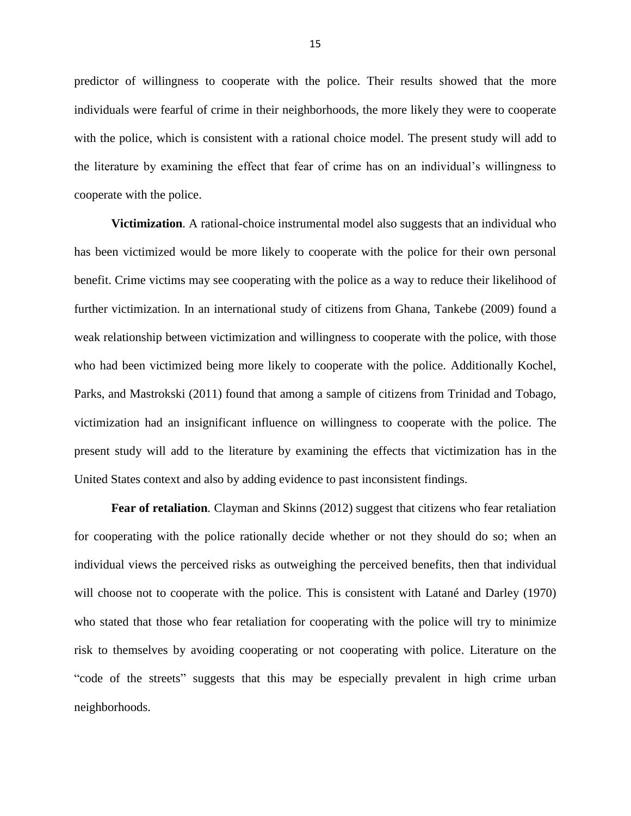predictor of willingness to cooperate with the police. Their results showed that the more individuals were fearful of crime in their neighborhoods, the more likely they were to cooperate with the police, which is consistent with a rational choice model. The present study will add to the literature by examining the effect that fear of crime has on an individual's willingness to cooperate with the police.

**Victimization***.* A rational-choice instrumental model also suggests that an individual who has been victimized would be more likely to cooperate with the police for their own personal benefit. Crime victims may see cooperating with the police as a way to reduce their likelihood of further victimization. In an international study of citizens from Ghana, Tankebe (2009) found a weak relationship between victimization and willingness to cooperate with the police, with those who had been victimized being more likely to cooperate with the police. Additionally Kochel, Parks, and Mastrokski (2011) found that among a sample of citizens from Trinidad and Tobago, victimization had an insignificant influence on willingness to cooperate with the police. The present study will add to the literature by examining the effects that victimization has in the United States context and also by adding evidence to past inconsistent findings.

**Fear of retaliation***.* Clayman and Skinns (2012) suggest that citizens who fear retaliation for cooperating with the police rationally decide whether or not they should do so; when an individual views the perceived risks as outweighing the perceived benefits, then that individual will choose not to cooperate with the police. This is consistent with Latané and Darley (1970) who stated that those who fear retaliation for cooperating with the police will try to minimize risk to themselves by avoiding cooperating or not cooperating with police. Literature on the "code of the streets" suggests that this may be especially prevalent in high crime urban neighborhoods.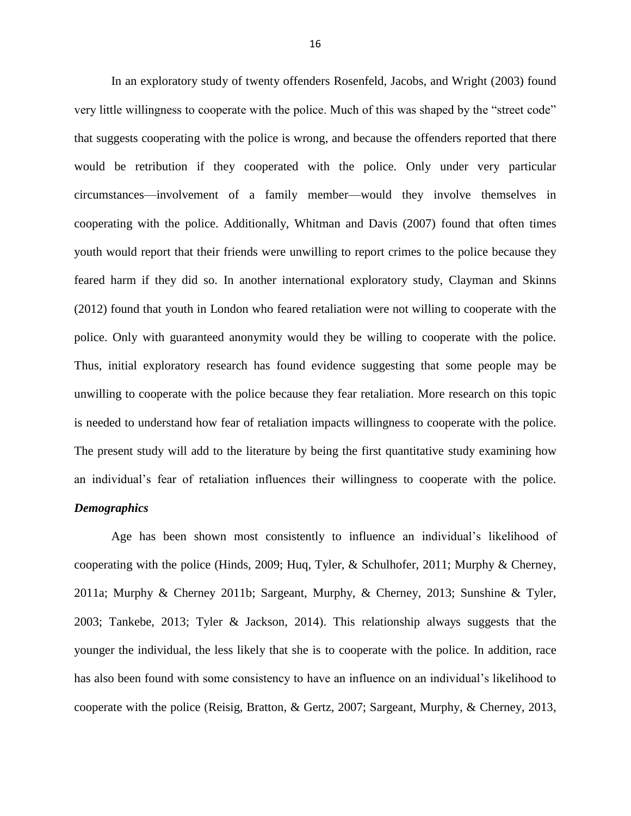In an exploratory study of twenty offenders Rosenfeld, Jacobs, and Wright (2003) found very little willingness to cooperate with the police. Much of this was shaped by the "street code" that suggests cooperating with the police is wrong, and because the offenders reported that there would be retribution if they cooperated with the police. Only under very particular circumstances—involvement of a family member—would they involve themselves in cooperating with the police. Additionally, Whitman and Davis (2007) found that often times youth would report that their friends were unwilling to report crimes to the police because they feared harm if they did so. In another international exploratory study, Clayman and Skinns (2012) found that youth in London who feared retaliation were not willing to cooperate with the police. Only with guaranteed anonymity would they be willing to cooperate with the police. Thus, initial exploratory research has found evidence suggesting that some people may be unwilling to cooperate with the police because they fear retaliation. More research on this topic is needed to understand how fear of retaliation impacts willingness to cooperate with the police. The present study will add to the literature by being the first quantitative study examining how an individual's fear of retaliation influences their willingness to cooperate with the police.

## *Demographics*

Age has been shown most consistently to influence an individual's likelihood of cooperating with the police (Hinds, 2009; Huq, Tyler, & Schulhofer, 2011; Murphy & Cherney, 2011a; Murphy & Cherney 2011b; Sargeant, Murphy, & Cherney, 2013; Sunshine & Tyler, 2003; Tankebe, 2013; Tyler & Jackson, 2014). This relationship always suggests that the younger the individual, the less likely that she is to cooperate with the police. In addition, race has also been found with some consistency to have an influence on an individual's likelihood to cooperate with the police (Reisig, Bratton, & Gertz, 2007; Sargeant, Murphy, & Cherney, 2013,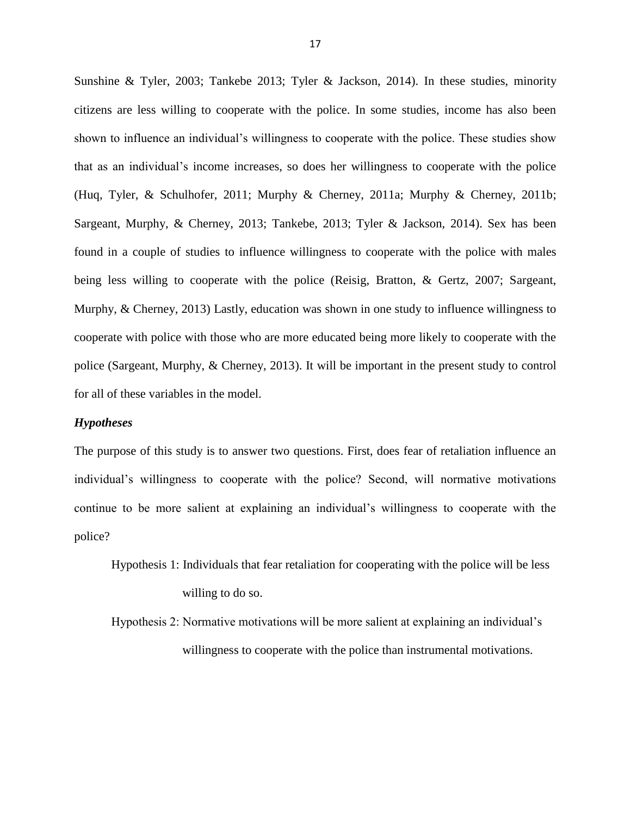Sunshine & Tyler, 2003; Tankebe 2013; Tyler & Jackson, 2014). In these studies, minority citizens are less willing to cooperate with the police. In some studies, income has also been shown to influence an individual's willingness to cooperate with the police. These studies show that as an individual's income increases, so does her willingness to cooperate with the police (Huq, Tyler, & Schulhofer, 2011; Murphy & Cherney, 2011a; Murphy & Cherney, 2011b; Sargeant, Murphy, & Cherney, 2013; Tankebe, 2013; Tyler & Jackson, 2014). Sex has been found in a couple of studies to influence willingness to cooperate with the police with males being less willing to cooperate with the police (Reisig, Bratton, & Gertz, 2007; Sargeant, Murphy, & Cherney, 2013) Lastly, education was shown in one study to influence willingness to cooperate with police with those who are more educated being more likely to cooperate with the police (Sargeant, Murphy, & Cherney, 2013). It will be important in the present study to control for all of these variables in the model.

#### *Hypotheses*

The purpose of this study is to answer two questions. First, does fear of retaliation influence an individual's willingness to cooperate with the police? Second, will normative motivations continue to be more salient at explaining an individual's willingness to cooperate with the police?

Hypothesis 1: Individuals that fear retaliation for cooperating with the police will be less willing to do so.

Hypothesis 2: Normative motivations will be more salient at explaining an individual's willingness to cooperate with the police than instrumental motivations.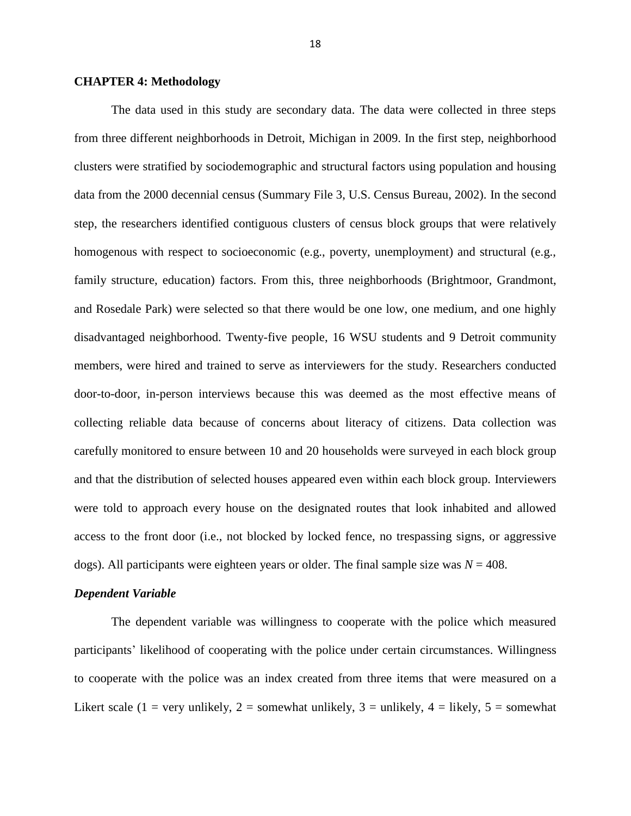#### **CHAPTER 4: Methodology**

The data used in this study are secondary data. The data were collected in three steps from three different neighborhoods in Detroit, Michigan in 2009. In the first step, neighborhood clusters were stratified by sociodemographic and structural factors using population and housing data from the 2000 decennial census (Summary File 3, U.S. Census Bureau, 2002). In the second step, the researchers identified contiguous clusters of census block groups that were relatively homogenous with respect to socioeconomic (e.g., poverty, unemployment) and structural (e.g., family structure, education) factors. From this, three neighborhoods (Brightmoor, Grandmont, and Rosedale Park) were selected so that there would be one low, one medium, and one highly disadvantaged neighborhood. Twenty-five people, 16 WSU students and 9 Detroit community members, were hired and trained to serve as interviewers for the study. Researchers conducted door-to-door, in-person interviews because this was deemed as the most effective means of collecting reliable data because of concerns about literacy of citizens. Data collection was carefully monitored to ensure between 10 and 20 households were surveyed in each block group and that the distribution of selected houses appeared even within each block group. Interviewers were told to approach every house on the designated routes that look inhabited and allowed access to the front door (i.e., not blocked by locked fence, no trespassing signs, or aggressive dogs). All participants were eighteen years or older. The final sample size was  $N = 408$ .

#### *Dependent Variable*

The dependent variable was willingness to cooperate with the police which measured participants' likelihood of cooperating with the police under certain circumstances. Willingness to cooperate with the police was an index created from three items that were measured on a Likert scale (1 = very unlikely, 2 = somewhat unlikely, 3 = unlikely, 4 = likely, 5 = somewhat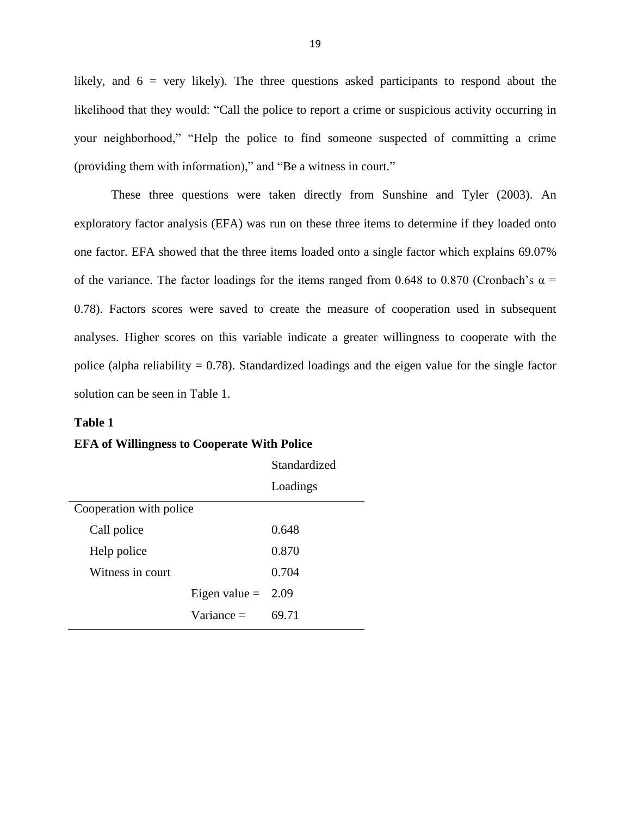likely, and  $6 = \text{very likely}$ . The three questions asked participants to respond about the likelihood that they would: "Call the police to report a crime or suspicious activity occurring in your neighborhood," "Help the police to find someone suspected of committing a crime (providing them with information)," and "Be a witness in court."

These three questions were taken directly from Sunshine and Tyler (2003). An exploratory factor analysis (EFA) was run on these three items to determine if they loaded onto one factor. EFA showed that the three items loaded onto a single factor which explains 69.07% of the variance. The factor loadings for the items ranged from 0.648 to 0.870 (Cronbach's  $\alpha$  = 0.78). Factors scores were saved to create the measure of cooperation used in subsequent analyses. Higher scores on this variable indicate a greater willingness to cooperate with the police (alpha reliability  $= 0.78$ ). Standardized loadings and the eigen value for the single factor solution can be seen in Table 1.

#### **Table 1**

#### **EFA of Willingness to Cooperate With Police**

|                         |                      | Standardized |
|-------------------------|----------------------|--------------|
|                         |                      | Loadings     |
| Cooperation with police |                      |              |
| Call police             |                      | 0.648        |
| Help police             |                      | 0.870        |
| Witness in court        |                      | 0.704        |
|                         | Eigen value $= 2.09$ |              |
|                         | $Variance =$         | 69.71        |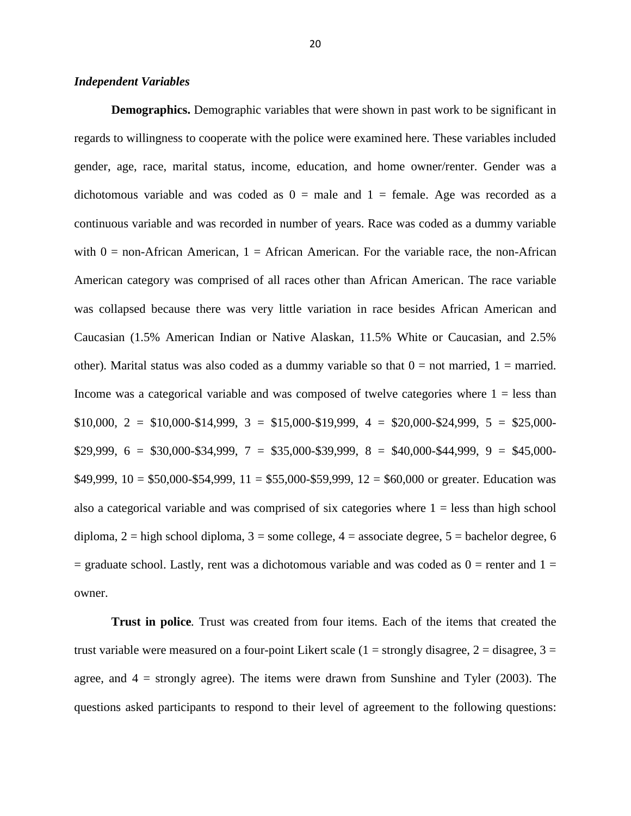#### *Independent Variables*

**Demographics.** Demographic variables that were shown in past work to be significant in regards to willingness to cooperate with the police were examined here. These variables included gender, age, race, marital status, income, education, and home owner/renter. Gender was a dichotomous variable and was coded as  $0 =$  male and  $1 =$  female. Age was recorded as a continuous variable and was recorded in number of years. Race was coded as a dummy variable with  $0 =$  non-African American,  $1 =$  African American. For the variable race, the non-African American category was comprised of all races other than African American. The race variable was collapsed because there was very little variation in race besides African American and Caucasian (1.5% American Indian or Native Alaskan, 11.5% White or Caucasian, and 2.5% other). Marital status was also coded as a dummy variable so that  $0 =$  not married,  $1 =$  married. Income was a categorical variable and was composed of twelve categories where  $1 =$  less than  $$10,000, 2 = $10,000-S14,999, 3 = $15,000-S19,999, 4 = $20,000-S24,999, 5 = $25,000 $29,999, 6 = $30,000 - $34,999, 7 = $35,000 - $39,999, 8 = $40,000 - $44,999, 9 = $45,000 - $40,000 - $40,000 - $40,000 - $40,000 - $40,000 - $40,000 - $40,000 - $40,000 - $40,000 - $40,000 - $40,000 - $40,000 - $40,000 - $40,000 - $40,000 - $40,000 - $40,000 - $40,000 -$ \$49,999,  $10 = $50,000 - $54,999$ ,  $11 = $55,000 - $59,999$ ,  $12 = $60,000$  or greater. Education was also a categorical variable and was comprised of six categories where  $1 =$  less than high school diploma,  $2 =$  high school diploma,  $3 =$  some college,  $4 =$  associate degree,  $5 =$  bachelor degree, 6  $=$  graduate school. Lastly, rent was a dichotomous variable and was coded as  $0 =$  renter and  $1 =$ owner.

**Trust in police***.* Trust was created from four items. Each of the items that created the trust variable were measured on a four-point Likert scale  $(1 =$  strongly disagree,  $2 =$  disagree,  $3 =$ agree, and  $4 =$  strongly agree). The items were drawn from Sunshine and Tyler (2003). The questions asked participants to respond to their level of agreement to the following questions: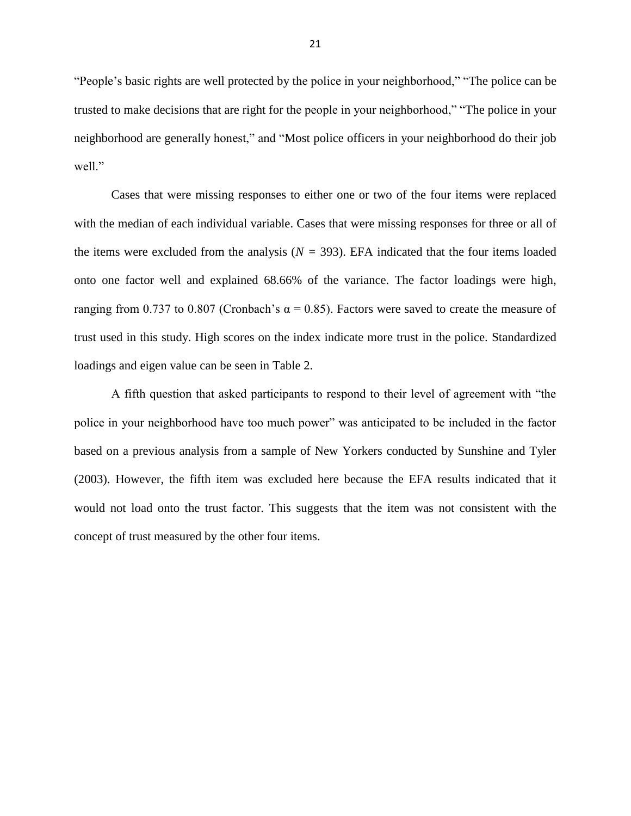"People's basic rights are well protected by the police in your neighborhood," "The police can be trusted to make decisions that are right for the people in your neighborhood," "The police in your neighborhood are generally honest," and "Most police officers in your neighborhood do their job well."

Cases that were missing responses to either one or two of the four items were replaced with the median of each individual variable. Cases that were missing responses for three or all of the items were excluded from the analysis ( $N = 393$ ). EFA indicated that the four items loaded onto one factor well and explained 68.66% of the variance. The factor loadings were high, ranging from 0.737 to 0.807 (Cronbach's α = 0.85). Factors were saved to create the measure of trust used in this study. High scores on the index indicate more trust in the police. Standardized loadings and eigen value can be seen in Table 2.

A fifth question that asked participants to respond to their level of agreement with "the police in your neighborhood have too much power" was anticipated to be included in the factor based on a previous analysis from a sample of New Yorkers conducted by Sunshine and Tyler (2003). However, the fifth item was excluded here because the EFA results indicated that it would not load onto the trust factor. This suggests that the item was not consistent with the concept of trust measured by the other four items.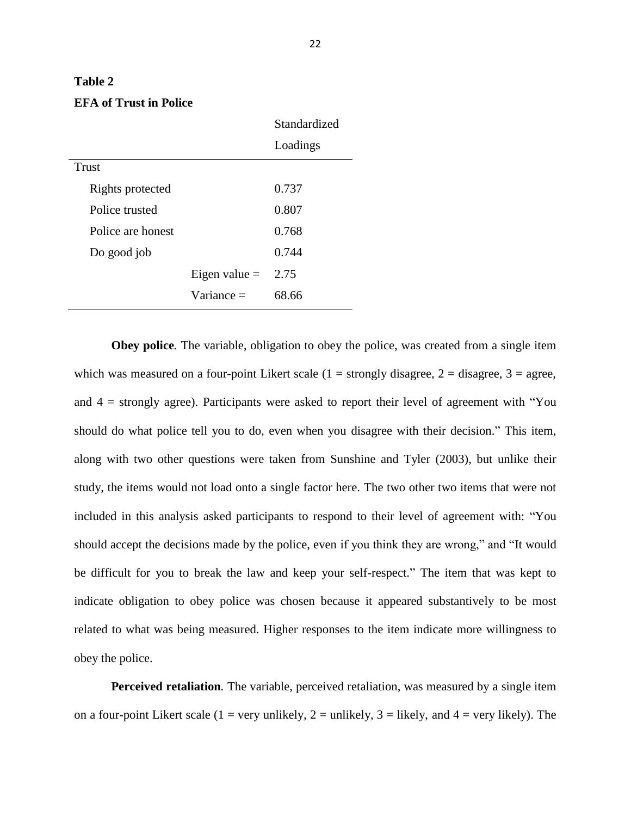## **Table 2 EFA of Trust in Police**

|                   |                 | Standardized |
|-------------------|-----------------|--------------|
|                   |                 | Loadings     |
| Trust             |                 |              |
| Rights protected  |                 | 0.737        |
| Police trusted    |                 | 0.807        |
| Police are honest |                 | 0.768        |
| Do good job       |                 | 0.744        |
|                   | Eigen value $=$ | 2.75         |
|                   | $Variance =$    | 68.66        |

**Obey police***.* The variable, obligation to obey the police, was created from a single item which was measured on a four-point Likert scale  $(1 =$  strongly disagree,  $2 =$  disagree,  $3 =$  agree, and  $4 =$  strongly agree). Participants were asked to report their level of agreement with "You" should do what police tell you to do, even when you disagree with their decision." This item, along with two other questions were taken from Sunshine and Tyler (2003), but unlike their study, the items would not load onto a single factor here. The two other two items that were not included in this analysis asked participants to respond to their level of agreement with: "You should accept the decisions made by the police, even if you think they are wrong," and "It would be difficult for you to break the law and keep your self-respect." The item that was kept to indicate obligation to obey police was chosen because it appeared substantively to be most related to what was being measured. Higher responses to the item indicate more willingness to obey the police.

**Perceived retaliation***.* The variable, perceived retaliation, was measured by a single item on a four-point Likert scale (1 = very unlikely, 2 = unlikely, 3 = likely, and 4 = very likely). The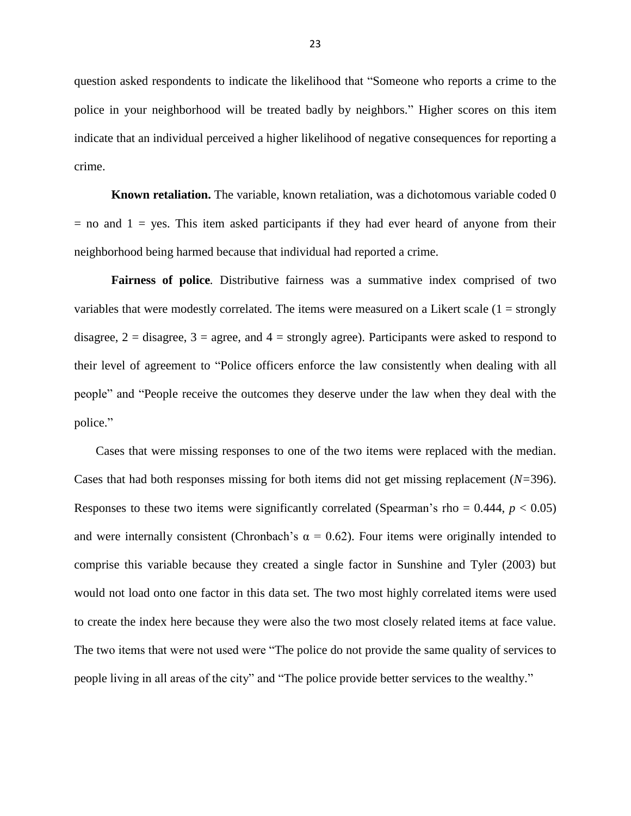question asked respondents to indicate the likelihood that "Someone who reports a crime to the police in your neighborhood will be treated badly by neighbors." Higher scores on this item indicate that an individual perceived a higher likelihood of negative consequences for reporting a crime.

**Known retaliation.** The variable, known retaliation, was a dichotomous variable coded 0  $=$  no and  $1 =$  yes. This item asked participants if they had ever heard of anyone from their neighborhood being harmed because that individual had reported a crime.

**Fairness of police***.* Distributive fairness was a summative index comprised of two variables that were modestly correlated. The items were measured on a Likert scale  $(1 = \text{strongly})$ disagree,  $2 =$  disagree,  $3 =$  agree, and  $4 =$  strongly agree). Participants were asked to respond to their level of agreement to "Police officers enforce the law consistently when dealing with all people" and "People receive the outcomes they deserve under the law when they deal with the police."

Cases that were missing responses to one of the two items were replaced with the median. Cases that had both responses missing for both items did not get missing replacement (*N=*396). Responses to these two items were significantly correlated (Spearman's rho =  $0.444$ ,  $p < 0.05$ ) and were internally consistent (Chronbach's  $\alpha = 0.62$ ). Four items were originally intended to comprise this variable because they created a single factor in Sunshine and Tyler (2003) but would not load onto one factor in this data set. The two most highly correlated items were used to create the index here because they were also the two most closely related items at face value. The two items that were not used were "The police do not provide the same quality of services to people living in all areas of the city" and "The police provide better services to the wealthy."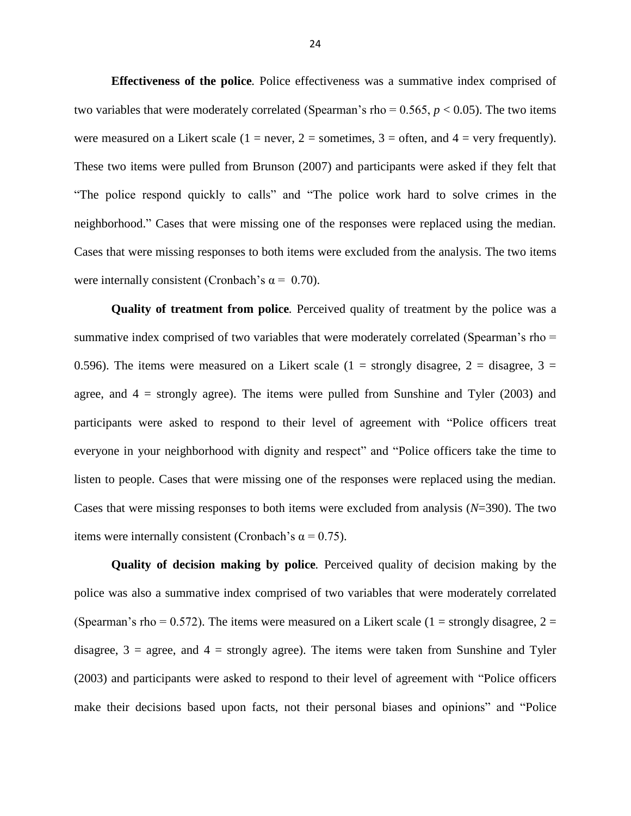**Effectiveness of the police***.* Police effectiveness was a summative index comprised of two variables that were moderately correlated (Spearman's rho =  $0.565$ ,  $p < 0.05$ ). The two items were measured on a Likert scale (1 = never, 2 = sometimes, 3 = often, and 4 = very frequently). These two items were pulled from Brunson (2007) and participants were asked if they felt that "The police respond quickly to calls" and "The police work hard to solve crimes in the neighborhood." Cases that were missing one of the responses were replaced using the median. Cases that were missing responses to both items were excluded from the analysis. The two items were internally consistent (Cronbach's  $\alpha = 0.70$ ).

**Quality of treatment from police***.* Perceived quality of treatment by the police was a summative index comprised of two variables that were moderately correlated (Spearman's rho = 0.596). The items were measured on a Likert scale (1 = strongly disagree, 2 = disagree, 3 = agree, and  $4 =$  strongly agree). The items were pulled from Sunshine and Tyler (2003) and participants were asked to respond to their level of agreement with "Police officers treat everyone in your neighborhood with dignity and respect" and "Police officers take the time to listen to people. Cases that were missing one of the responses were replaced using the median. Cases that were missing responses to both items were excluded from analysis (*N*=390). The two items were internally consistent (Cronbach's  $\alpha = 0.75$ ).

**Quality of decision making by police***.* Perceived quality of decision making by the police was also a summative index comprised of two variables that were moderately correlated (Spearman's rho = 0.572). The items were measured on a Likert scale (1 = strongly disagree, 2 = disagree,  $3 = \text{agree}$ , and  $4 = \text{strongly agree}$ ). The items were taken from Sunshine and Tyler (2003) and participants were asked to respond to their level of agreement with "Police officers make their decisions based upon facts, not their personal biases and opinions" and "Police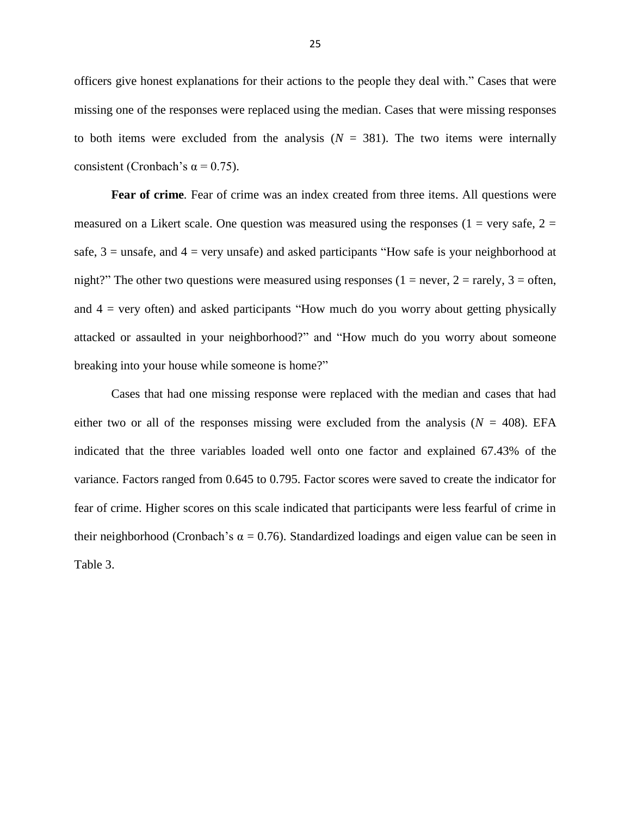officers give honest explanations for their actions to the people they deal with." Cases that were missing one of the responses were replaced using the median. Cases that were missing responses to both items were excluded from the analysis  $(N = 381)$ . The two items were internally consistent (Cronbach's  $\alpha$  = 0.75).

**Fear of crime***.* Fear of crime was an index created from three items. All questions were measured on a Likert scale. One question was measured using the responses (1 = very safe, 2 = safe,  $3 =$  unsafe, and  $4 =$  very unsafe) and asked participants "How safe is your neighborhood at night?" The other two questions were measured using responses (1 = never, 2 = rarely, 3 = often, and  $4 =$  very often) and asked participants "How much do you worry about getting physically attacked or assaulted in your neighborhood?" and "How much do you worry about someone breaking into your house while someone is home?"

Cases that had one missing response were replaced with the median and cases that had either two or all of the responses missing were excluded from the analysis ( $N = 408$ ). EFA indicated that the three variables loaded well onto one factor and explained 67.43% of the variance. Factors ranged from 0.645 to 0.795. Factor scores were saved to create the indicator for fear of crime. Higher scores on this scale indicated that participants were less fearful of crime in their neighborhood (Cronbach's  $\alpha = 0.76$ ). Standardized loadings and eigen value can be seen in Table 3.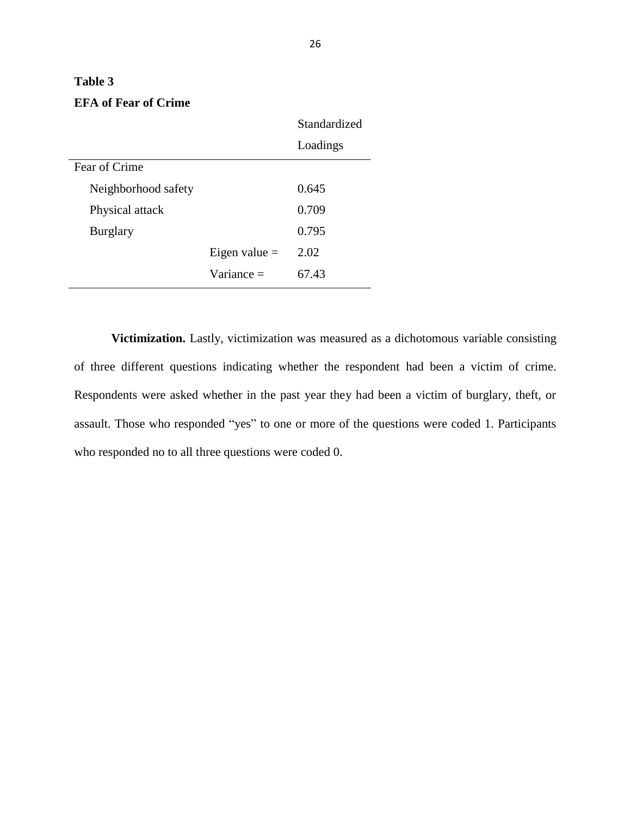## Standardized Loadings Fear of Crime Neighborhood safety 0.645 Physical attack 0.709 Burglary 0.795 Eigen value  $=$  2.02 Variance  $=$  67.43

**Victimization.** Lastly, victimization was measured as a dichotomous variable consisting of three different questions indicating whether the respondent had been a victim of crime. Respondents were asked whether in the past year they had been a victim of burglary, theft, or assault. Those who responded "yes" to one or more of the questions were coded 1. Participants who responded no to all three questions were coded 0.

## **EFA of Fear of Crime**

**Table 3**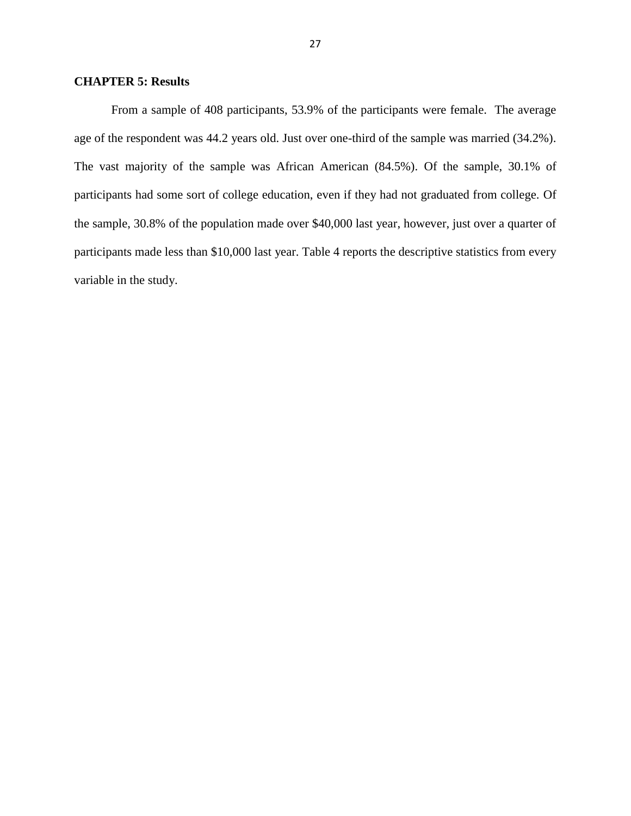#### **CHAPTER 5: Results**

From a sample of 408 participants, 53.9% of the participants were female. The average age of the respondent was 44.2 years old. Just over one-third of the sample was married (34.2%). The vast majority of the sample was African American (84.5%). Of the sample, 30.1% of participants had some sort of college education, even if they had not graduated from college. Of the sample, 30.8% of the population made over \$40,000 last year, however, just over a quarter of participants made less than \$10,000 last year. Table 4 reports the descriptive statistics from every variable in the study.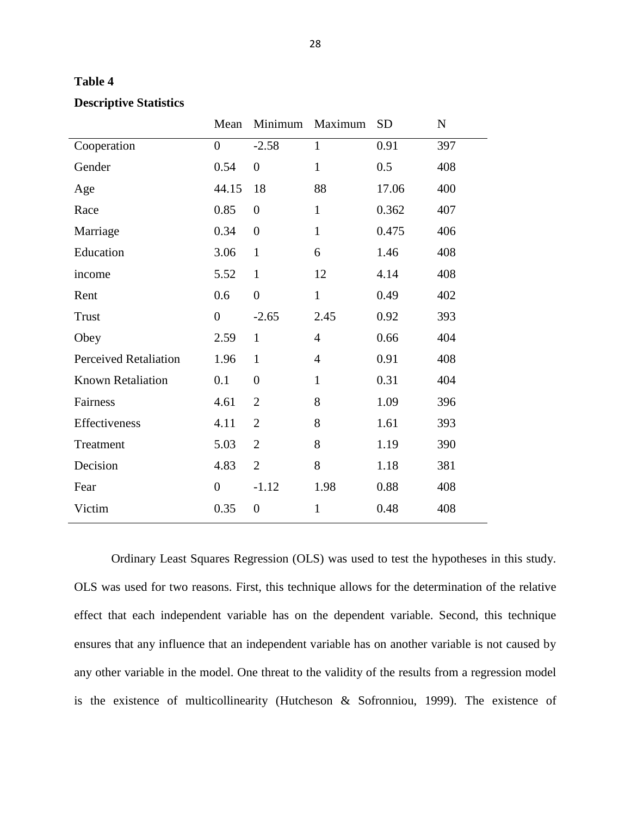| ۱۱<br>H<br>n<br>n |  |
|-------------------|--|
|-------------------|--|

|                              | Mean             | Minimum        | Maximum        | <b>SD</b> | N   |
|------------------------------|------------------|----------------|----------------|-----------|-----|
| Cooperation                  | $\boldsymbol{0}$ | $-2.58$        | $\mathbf{1}$   | 0.91      | 397 |
| Gender                       | 0.54             | $\overline{0}$ | $\mathbf{1}$   | 0.5       | 408 |
| Age                          | 44.15            | 18             | 88             | 17.06     | 400 |
| Race                         | 0.85             | $\overline{0}$ | $\mathbf{1}$   | 0.362     | 407 |
| Marriage                     | 0.34             | $\overline{0}$ | $\mathbf{1}$   | 0.475     | 406 |
| Education                    | 3.06             | $\mathbf{1}$   | 6              | 1.46      | 408 |
| income                       | 5.52             | $\mathbf{1}$   | 12             | 4.14      | 408 |
| Rent                         | 0.6              | $\overline{0}$ | $\mathbf{1}$   | 0.49      | 402 |
| <b>Trust</b>                 | $\overline{0}$   | $-2.65$        | 2.45           | 0.92      | 393 |
| Obey                         | 2.59             | $\mathbf{1}$   | $\overline{4}$ | 0.66      | 404 |
| <b>Perceived Retaliation</b> | 1.96             | $\mathbf{1}$   | $\overline{4}$ | 0.91      | 408 |
| Known Retaliation            | 0.1              | $\overline{0}$ | $\mathbf{1}$   | 0.31      | 404 |
| Fairness                     | 4.61             | $\overline{2}$ | 8              | 1.09      | 396 |
| Effectiveness                | 4.11             | $\overline{2}$ | 8              | 1.61      | 393 |
| Treatment                    | 5.03             | $\overline{2}$ | 8              | 1.19      | 390 |
| Decision                     | 4.83             | $\overline{2}$ | 8              | 1.18      | 381 |
| Fear                         | $\overline{0}$   | $-1.12$        | 1.98           | 0.88      | 408 |
| Victim                       | 0.35             | $\overline{0}$ | $\mathbf{1}$   | 0.48      | 408 |

#### **Descriptive Statistics**

Ordinary Least Squares Regression (OLS) was used to test the hypotheses in this study. OLS was used for two reasons. First, this technique allows for the determination of the relative effect that each independent variable has on the dependent variable. Second, this technique ensures that any influence that an independent variable has on another variable is not caused by any other variable in the model. One threat to the validity of the results from a regression model is the existence of multicollinearity (Hutcheson & Sofronniou, 1999). The existence of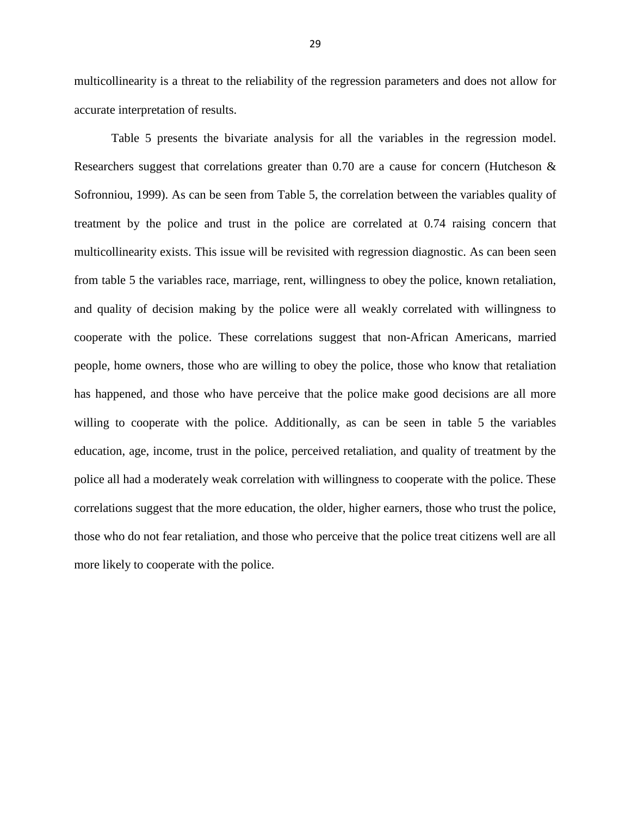multicollinearity is a threat to the reliability of the regression parameters and does not allow for accurate interpretation of results.

Table 5 presents the bivariate analysis for all the variables in the regression model. Researchers suggest that correlations greater than 0.70 are a cause for concern (Hutcheson  $\&$ Sofronniou, 1999). As can be seen from Table 5, the correlation between the variables quality of treatment by the police and trust in the police are correlated at 0.74 raising concern that multicollinearity exists. This issue will be revisited with regression diagnostic. As can been seen from table 5 the variables race, marriage, rent, willingness to obey the police, known retaliation, and quality of decision making by the police were all weakly correlated with willingness to cooperate with the police. These correlations suggest that non-African Americans, married people, home owners, those who are willing to obey the police, those who know that retaliation has happened, and those who have perceive that the police make good decisions are all more willing to cooperate with the police. Additionally, as can be seen in table 5 the variables education, age, income, trust in the police, perceived retaliation, and quality of treatment by the police all had a moderately weak correlation with willingness to cooperate with the police. These correlations suggest that the more education, the older, higher earners, those who trust the police, those who do not fear retaliation, and those who perceive that the police treat citizens well are all more likely to cooperate with the police.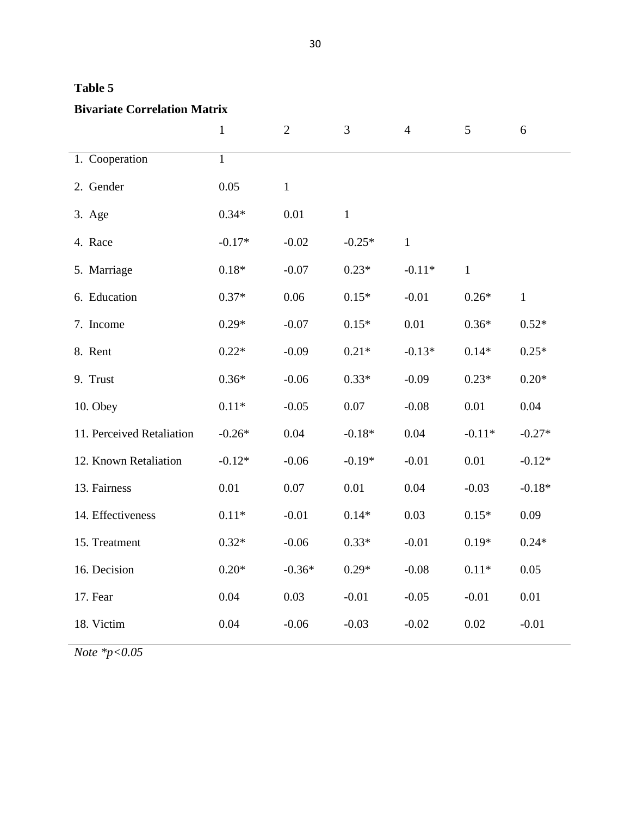| m<br>16<br>H<br>н |  |
|-------------------|--|
|-------------------|--|

## **Bivariate Correlation Matrix**

|                           | $\mathbf{1}$ | $\overline{2}$ | 3            | $\overline{4}$ | 5            | 6            |
|---------------------------|--------------|----------------|--------------|----------------|--------------|--------------|
| 1. Cooperation            | $\mathbf{1}$ |                |              |                |              |              |
| 2. Gender                 | 0.05         | $\,1$          |              |                |              |              |
| 3. Age                    | $0.34*$      | 0.01           | $\mathbf{1}$ |                |              |              |
| 4. Race                   | $-0.17*$     | $-0.02$        | $-0.25*$     | $\mathbf{1}$   |              |              |
| 5. Marriage               | $0.18*$      | $-0.07$        | $0.23*$      | $-0.11*$       | $\mathbf{1}$ |              |
| 6. Education              | $0.37*$      | 0.06           | $0.15*$      | $-0.01$        | $0.26*$      | $\mathbf{1}$ |
| 7. Income                 | $0.29*$      | $-0.07$        | $0.15*$      | 0.01           | $0.36*$      | $0.52*$      |
| 8. Rent                   | $0.22*$      | $-0.09$        | $0.21*$      | $-0.13*$       | $0.14*$      | $0.25*$      |
| 9. Trust                  | $0.36*$      | $-0.06$        | $0.33*$      | $-0.09$        | $0.23*$      | $0.20*$      |
| 10. Obey                  | $0.11*$      | $-0.05$        | 0.07         | $-0.08$        | 0.01         | 0.04         |
| 11. Perceived Retaliation | $-0.26*$     | 0.04           | $-0.18*$     | 0.04           | $-0.11*$     | $-0.27*$     |
| 12. Known Retaliation     | $-0.12*$     | $-0.06$        | $-0.19*$     | $-0.01$        | 0.01         | $-0.12*$     |
| 13. Fairness              | 0.01         | 0.07           | 0.01         | 0.04           | $-0.03$      | $-0.18*$     |
| 14. Effectiveness         | $0.11*$      | $-0.01$        | $0.14*$      | 0.03           | $0.15*$      | 0.09         |
| 15. Treatment             | $0.32*$      | $-0.06$        | $0.33*$      | $-0.01$        | $0.19*$      | $0.24*$      |
| 16. Decision              | $0.20*$      | $-0.36*$       | $0.29*$      | $-0.08$        | $0.11*$      | 0.05         |
| 17. Fear                  | 0.04         | 0.03           | $-0.01$      | $-0.05$        | $-0.01$      | 0.01         |
| 18. Victim                | 0.04         | $-0.06$        | $-0.03$      | $-0.02$        | $0.02\,$     | $-0.01$      |

*Note \*p<0.05*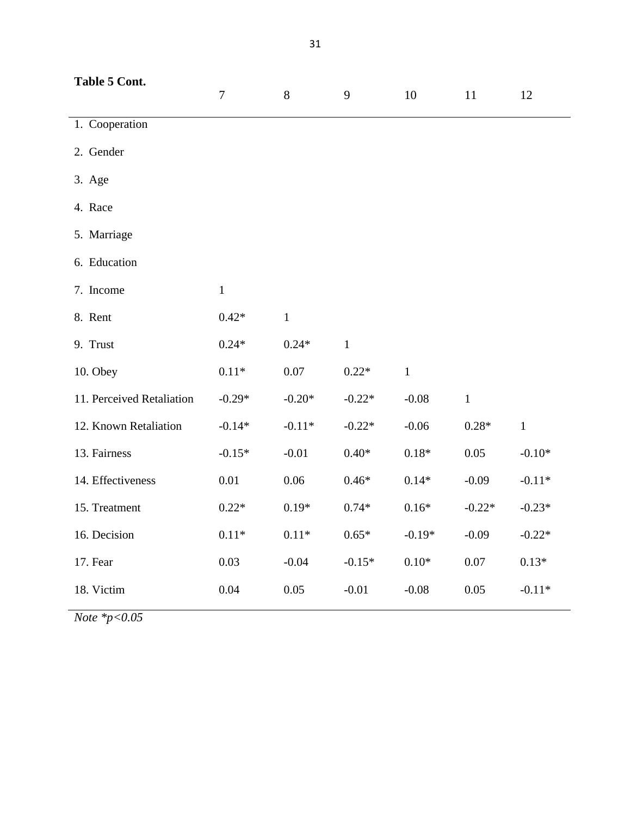| Table 5 Cont.             | $\overline{7}$ | 8            | 9            | 10               | 11           | 12          |
|---------------------------|----------------|--------------|--------------|------------------|--------------|-------------|
| 1. Cooperation            |                |              |              |                  |              |             |
| 2. Gender                 |                |              |              |                  |              |             |
| 3. Age                    |                |              |              |                  |              |             |
| 4. Race                   |                |              |              |                  |              |             |
| 5. Marriage               |                |              |              |                  |              |             |
| 6. Education              |                |              |              |                  |              |             |
| 7. Income                 | $\mathbf{1}$   |              |              |                  |              |             |
| 8. Rent                   | $0.42*$        | $\mathbf{1}$ |              |                  |              |             |
| 9. Trust                  | $0.24*$        | $0.24*$      | $\mathbf{1}$ |                  |              |             |
| 10. Obey                  | $0.11\,{*}$    | $0.07\,$     | $0.22*$      | $\mathbf 1$      |              |             |
| 11. Perceived Retaliation | $-0.29*$       | $-0.20*$     | $-0.22*$     | $-0.08$          | $\mathbf{1}$ |             |
| 12. Known Retaliation     | $-0.14*$       | $-0.11*$     | $-0.22*$     | $-0.06$          | $0.28*$      | $\mathbf 1$ |
| 13. Fairness              | $-0.15*$       | $-0.01$      | $0.40*$      | $0.18*$          | 0.05         | $-0.10*$    |
| 14. Effectiveness         | 0.01           | 0.06         | $0.46*$      | $0.14*$          | $-0.09$      | $-0.11*$    |
| 15. Treatment             | $0.22*$        | $0.19*$      | $0.74*$      | $0.16*$          | $-0.22*$     | $-0.23*$    |
| 16. Decision              | $0.11*$        | $0.11*$      | $0.65*$      | $-0.19*$         | $-0.09$      | $-0.22*$    |
| 17. Fear                  | 0.03           | $-0.04$      | $-0.15*$     | $0.10\mathrm{*}$ | 0.07         | $0.13*$     |
| 18. Victim                | 0.04           | 0.05         | $-0.01$      | $-0.08$          | 0.05         | $-0.11*$    |

*Note \*p<0.05*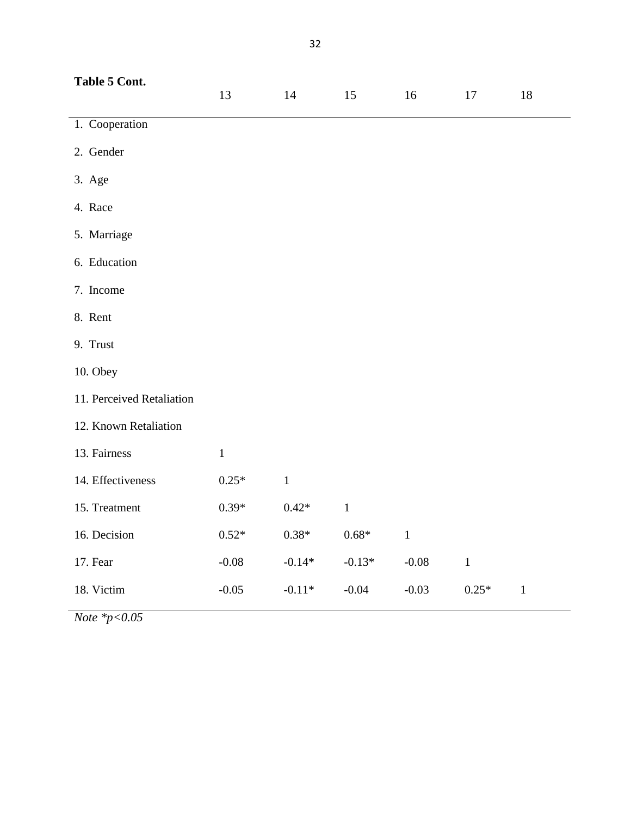| Table 5 Cont.             | 13           | 14           | 15       | 16      | 17          | 18           |
|---------------------------|--------------|--------------|----------|---------|-------------|--------------|
| 1. Cooperation            |              |              |          |         |             |              |
| 2. Gender                 |              |              |          |         |             |              |
| 3. Age                    |              |              |          |         |             |              |
| 4. Race                   |              |              |          |         |             |              |
| 5. Marriage               |              |              |          |         |             |              |
| 6. Education              |              |              |          |         |             |              |
| 7. Income                 |              |              |          |         |             |              |
| 8. Rent                   |              |              |          |         |             |              |
| 9. Trust                  |              |              |          |         |             |              |
| 10. Obey                  |              |              |          |         |             |              |
| 11. Perceived Retaliation |              |              |          |         |             |              |
| 12. Known Retaliation     |              |              |          |         |             |              |
| 13. Fairness              | $\mathbf{1}$ |              |          |         |             |              |
| 14. Effectiveness         | $0.25*$      | $\mathbf{1}$ |          |         |             |              |
| 15. Treatment             | $0.39*$      | $0.42*$      | $\,1$    |         |             |              |
| 16. Decision              | $0.52*$      | $0.38*$      | $0.68*$  | $\,1\,$ |             |              |
| 17. Fear                  | $-0.08$      | $-0.14*$     | $-0.13*$ | $-0.08$ | $\mathbf 1$ |              |
| 18. Victim                | $-0.05$      | $-0.11*$     | $-0.04$  | $-0.03$ | $0.25*$     | $\mathbf{1}$ |

*Note \*p<0.05*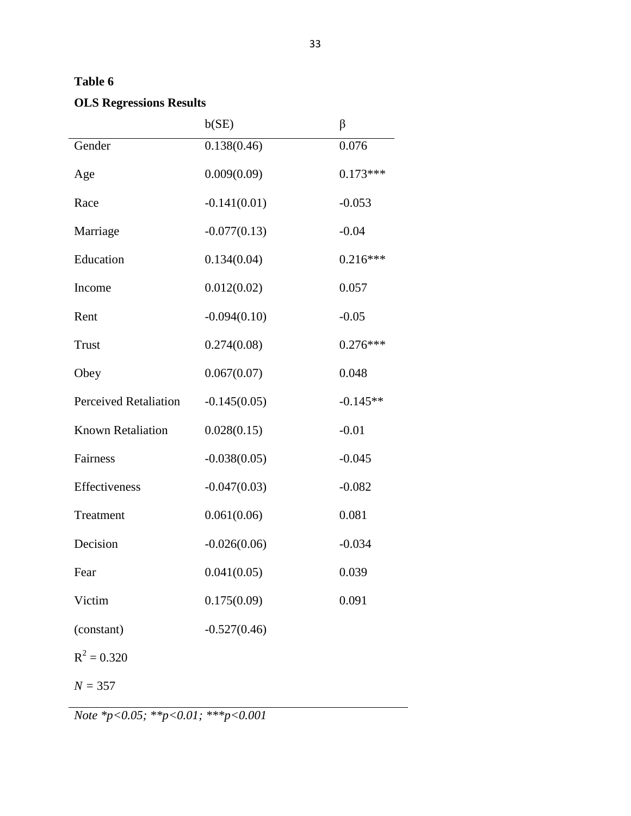## **Table 6**

## **OLS Regressions Results**

|                              | b(SE)          | $\beta$    |
|------------------------------|----------------|------------|
| Gender                       | 0.138(0.46)    | 0.076      |
| Age                          | 0.009(0.09)    | $0.173***$ |
| Race                         | $-0.141(0.01)$ | $-0.053$   |
| Marriage                     | $-0.077(0.13)$ | $-0.04$    |
| Education                    | 0.134(0.04)    | $0.216***$ |
| Income                       | 0.012(0.02)    | 0.057      |
| Rent                         | $-0.094(0.10)$ | $-0.05$    |
| <b>Trust</b>                 | 0.274(0.08)    | $0.276***$ |
| Obey                         | 0.067(0.07)    | 0.048      |
| <b>Perceived Retaliation</b> | $-0.145(0.05)$ | $-0.145**$ |
| <b>Known Retaliation</b>     | 0.028(0.15)    | $-0.01$    |
| Fairness                     | $-0.038(0.05)$ | $-0.045$   |
| Effectiveness                | $-0.047(0.03)$ | $-0.082$   |
| Treatment                    | 0.061(0.06)    | 0.081      |
| Decision                     | $-0.026(0.06)$ | $-0.034$   |
| Fear                         | 0.041(0.05)    | 0.039      |
| Victim                       | 0.175(0.09)    | 0.091      |
| (constant)                   | $-0.527(0.46)$ |            |
| $R^2 = 0.320$                |                |            |
| $N = 357$                    |                |            |

*Note \*p<0.05; \*\*p<0.01; \*\*\*p<0.001*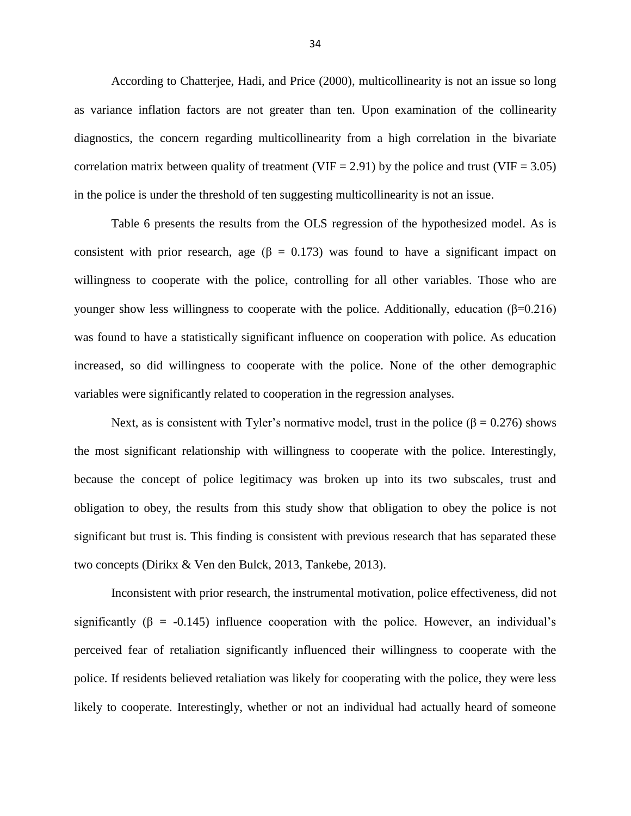According to Chatterjee, Hadi, and Price (2000), multicollinearity is not an issue so long as variance inflation factors are not greater than ten. Upon examination of the collinearity diagnostics, the concern regarding multicollinearity from a high correlation in the bivariate correlation matrix between quality of treatment (VIF = 2.91) by the police and trust (VIF = 3.05) in the police is under the threshold of ten suggesting multicollinearity is not an issue.

Table 6 presents the results from the OLS regression of the hypothesized model. As is consistent with prior research, age ( $\beta$  = 0.173) was found to have a significant impact on willingness to cooperate with the police, controlling for all other variables. Those who are younger show less willingness to cooperate with the police. Additionally, education  $(β=0.216)$ was found to have a statistically significant influence on cooperation with police. As education increased, so did willingness to cooperate with the police. None of the other demographic variables were significantly related to cooperation in the regression analyses.

Next, as is consistent with Tyler's normative model, trust in the police ( $\beta = 0.276$ ) shows the most significant relationship with willingness to cooperate with the police. Interestingly, because the concept of police legitimacy was broken up into its two subscales, trust and obligation to obey, the results from this study show that obligation to obey the police is not significant but trust is. This finding is consistent with previous research that has separated these two concepts (Dirikx & Ven den Bulck, 2013, Tankebe, 2013).

Inconsistent with prior research, the instrumental motivation, police effectiveness, did not significantly ( $\beta$  = -0.145) influence cooperation with the police. However, an individual's perceived fear of retaliation significantly influenced their willingness to cooperate with the police. If residents believed retaliation was likely for cooperating with the police, they were less likely to cooperate. Interestingly, whether or not an individual had actually heard of someone

34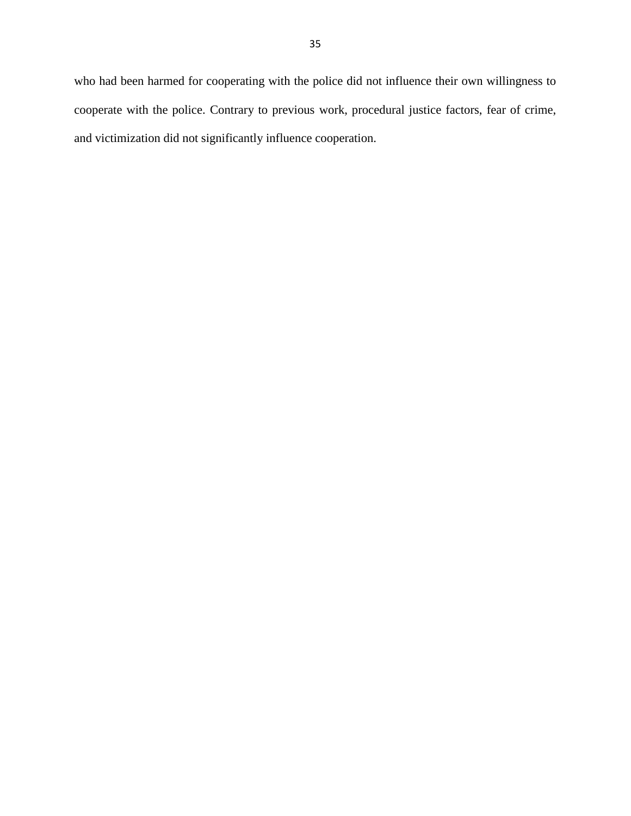who had been harmed for cooperating with the police did not influence their own willingness to cooperate with the police. Contrary to previous work, procedural justice factors, fear of crime, and victimization did not significantly influence cooperation.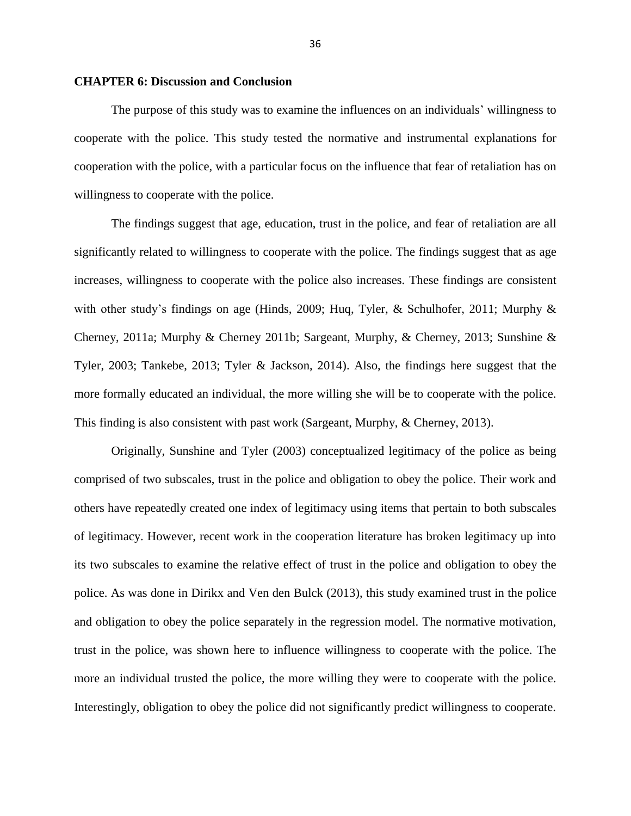#### **CHAPTER 6: Discussion and Conclusion**

The purpose of this study was to examine the influences on an individuals' willingness to cooperate with the police. This study tested the normative and instrumental explanations for cooperation with the police, with a particular focus on the influence that fear of retaliation has on willingness to cooperate with the police.

The findings suggest that age, education, trust in the police, and fear of retaliation are all significantly related to willingness to cooperate with the police. The findings suggest that as age increases, willingness to cooperate with the police also increases. These findings are consistent with other study's findings on age (Hinds, 2009; Huq, Tyler, & Schulhofer, 2011; Murphy  $\&$ Cherney, 2011a; Murphy & Cherney 2011b; Sargeant, Murphy, & Cherney, 2013; Sunshine & Tyler, 2003; Tankebe, 2013; Tyler & Jackson, 2014). Also, the findings here suggest that the more formally educated an individual, the more willing she will be to cooperate with the police. This finding is also consistent with past work (Sargeant, Murphy, & Cherney, 2013).

Originally, Sunshine and Tyler (2003) conceptualized legitimacy of the police as being comprised of two subscales, trust in the police and obligation to obey the police. Their work and others have repeatedly created one index of legitimacy using items that pertain to both subscales of legitimacy. However, recent work in the cooperation literature has broken legitimacy up into its two subscales to examine the relative effect of trust in the police and obligation to obey the police. As was done in Dirikx and Ven den Bulck (2013), this study examined trust in the police and obligation to obey the police separately in the regression model. The normative motivation, trust in the police, was shown here to influence willingness to cooperate with the police. The more an individual trusted the police, the more willing they were to cooperate with the police. Interestingly, obligation to obey the police did not significantly predict willingness to cooperate.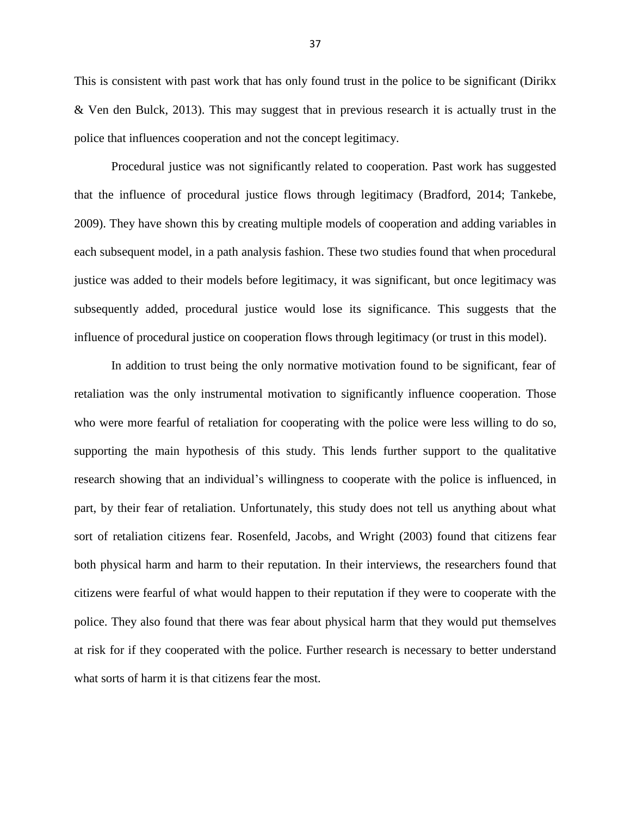This is consistent with past work that has only found trust in the police to be significant (Dirikx & Ven den Bulck, 2013). This may suggest that in previous research it is actually trust in the police that influences cooperation and not the concept legitimacy.

Procedural justice was not significantly related to cooperation. Past work has suggested that the influence of procedural justice flows through legitimacy (Bradford, 2014; Tankebe, 2009). They have shown this by creating multiple models of cooperation and adding variables in each subsequent model, in a path analysis fashion. These two studies found that when procedural justice was added to their models before legitimacy, it was significant, but once legitimacy was subsequently added, procedural justice would lose its significance. This suggests that the influence of procedural justice on cooperation flows through legitimacy (or trust in this model).

In addition to trust being the only normative motivation found to be significant, fear of retaliation was the only instrumental motivation to significantly influence cooperation. Those who were more fearful of retaliation for cooperating with the police were less willing to do so, supporting the main hypothesis of this study. This lends further support to the qualitative research showing that an individual's willingness to cooperate with the police is influenced, in part, by their fear of retaliation. Unfortunately, this study does not tell us anything about what sort of retaliation citizens fear. Rosenfeld, Jacobs, and Wright (2003) found that citizens fear both physical harm and harm to their reputation. In their interviews, the researchers found that citizens were fearful of what would happen to their reputation if they were to cooperate with the police. They also found that there was fear about physical harm that they would put themselves at risk for if they cooperated with the police. Further research is necessary to better understand what sorts of harm it is that citizens fear the most.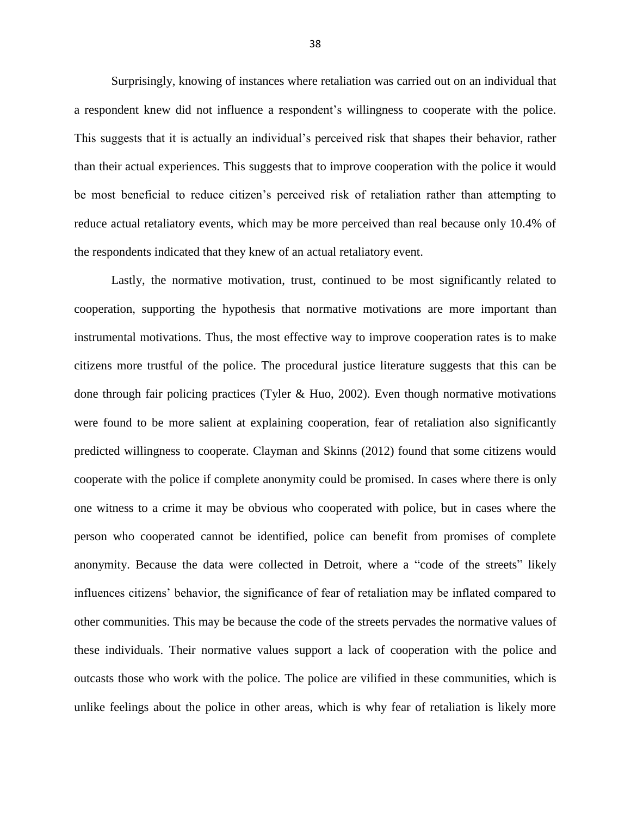Surprisingly, knowing of instances where retaliation was carried out on an individual that a respondent knew did not influence a respondent's willingness to cooperate with the police. This suggests that it is actually an individual's perceived risk that shapes their behavior, rather than their actual experiences. This suggests that to improve cooperation with the police it would be most beneficial to reduce citizen's perceived risk of retaliation rather than attempting to reduce actual retaliatory events, which may be more perceived than real because only 10.4% of the respondents indicated that they knew of an actual retaliatory event.

Lastly, the normative motivation, trust, continued to be most significantly related to cooperation, supporting the hypothesis that normative motivations are more important than instrumental motivations. Thus, the most effective way to improve cooperation rates is to make citizens more trustful of the police. The procedural justice literature suggests that this can be done through fair policing practices (Tyler & Huo, 2002). Even though normative motivations were found to be more salient at explaining cooperation, fear of retaliation also significantly predicted willingness to cooperate. Clayman and Skinns (2012) found that some citizens would cooperate with the police if complete anonymity could be promised. In cases where there is only one witness to a crime it may be obvious who cooperated with police, but in cases where the person who cooperated cannot be identified, police can benefit from promises of complete anonymity. Because the data were collected in Detroit, where a "code of the streets" likely influences citizens' behavior, the significance of fear of retaliation may be inflated compared to other communities. This may be because the code of the streets pervades the normative values of these individuals. Their normative values support a lack of cooperation with the police and outcasts those who work with the police. The police are vilified in these communities, which is unlike feelings about the police in other areas, which is why fear of retaliation is likely more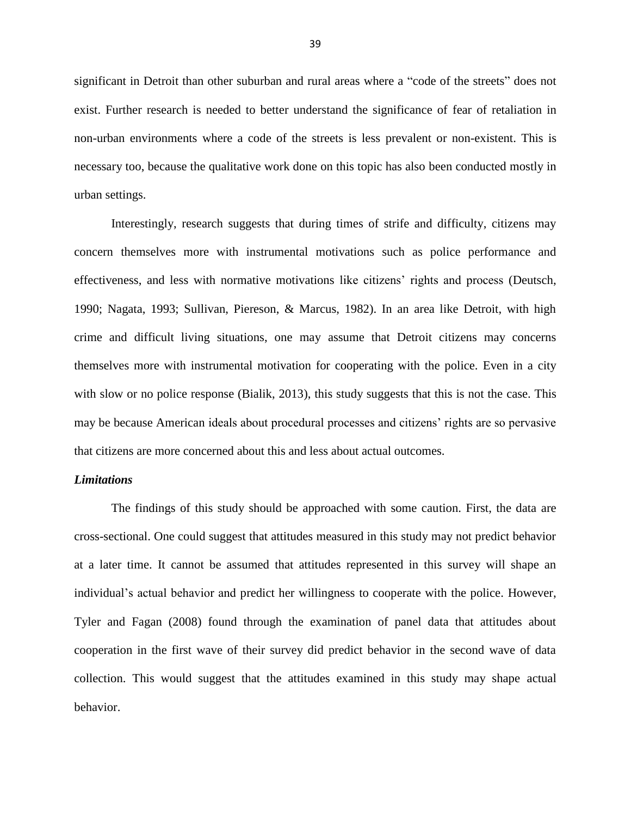significant in Detroit than other suburban and rural areas where a "code of the streets" does not exist. Further research is needed to better understand the significance of fear of retaliation in non-urban environments where a code of the streets is less prevalent or non-existent. This is necessary too, because the qualitative work done on this topic has also been conducted mostly in urban settings.

Interestingly, research suggests that during times of strife and difficulty, citizens may concern themselves more with instrumental motivations such as police performance and effectiveness, and less with normative motivations like citizens' rights and process (Deutsch, 1990; Nagata, 1993; Sullivan, Piereson, & Marcus, 1982). In an area like Detroit, with high crime and difficult living situations, one may assume that Detroit citizens may concerns themselves more with instrumental motivation for cooperating with the police. Even in a city with slow or no police response (Bialik, 2013), this study suggests that this is not the case. This may be because American ideals about procedural processes and citizens' rights are so pervasive that citizens are more concerned about this and less about actual outcomes.

#### *Limitations*

The findings of this study should be approached with some caution. First, the data are cross-sectional. One could suggest that attitudes measured in this study may not predict behavior at a later time. It cannot be assumed that attitudes represented in this survey will shape an individual's actual behavior and predict her willingness to cooperate with the police. However, Tyler and Fagan (2008) found through the examination of panel data that attitudes about cooperation in the first wave of their survey did predict behavior in the second wave of data collection. This would suggest that the attitudes examined in this study may shape actual behavior.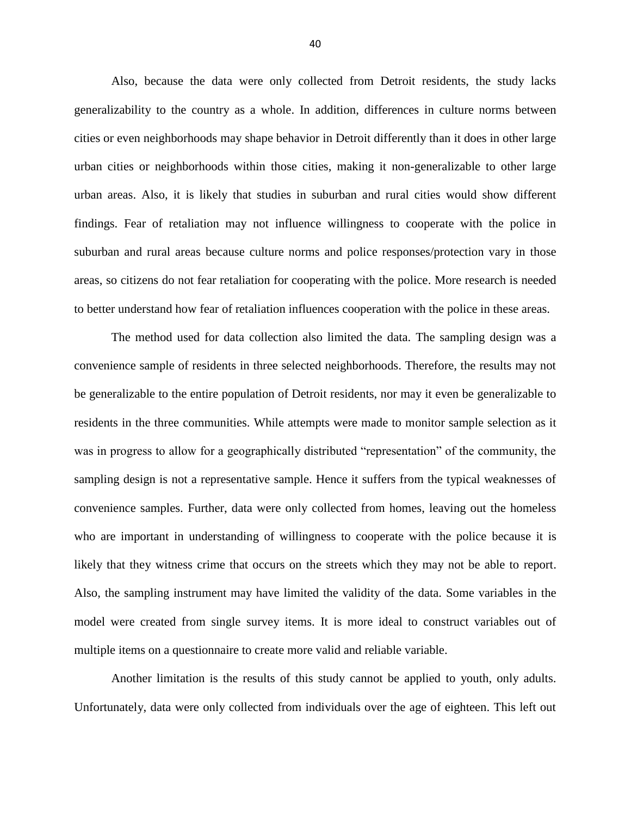Also, because the data were only collected from Detroit residents, the study lacks generalizability to the country as a whole. In addition, differences in culture norms between cities or even neighborhoods may shape behavior in Detroit differently than it does in other large urban cities or neighborhoods within those cities, making it non-generalizable to other large urban areas. Also, it is likely that studies in suburban and rural cities would show different findings. Fear of retaliation may not influence willingness to cooperate with the police in suburban and rural areas because culture norms and police responses/protection vary in those areas, so citizens do not fear retaliation for cooperating with the police. More research is needed to better understand how fear of retaliation influences cooperation with the police in these areas.

The method used for data collection also limited the data. The sampling design was a convenience sample of residents in three selected neighborhoods. Therefore, the results may not be generalizable to the entire population of Detroit residents, nor may it even be generalizable to residents in the three communities. While attempts were made to monitor sample selection as it was in progress to allow for a geographically distributed "representation" of the community, the sampling design is not a representative sample. Hence it suffers from the typical weaknesses of convenience samples. Further, data were only collected from homes, leaving out the homeless who are important in understanding of willingness to cooperate with the police because it is likely that they witness crime that occurs on the streets which they may not be able to report. Also, the sampling instrument may have limited the validity of the data. Some variables in the model were created from single survey items. It is more ideal to construct variables out of multiple items on a questionnaire to create more valid and reliable variable.

Another limitation is the results of this study cannot be applied to youth, only adults. Unfortunately, data were only collected from individuals over the age of eighteen. This left out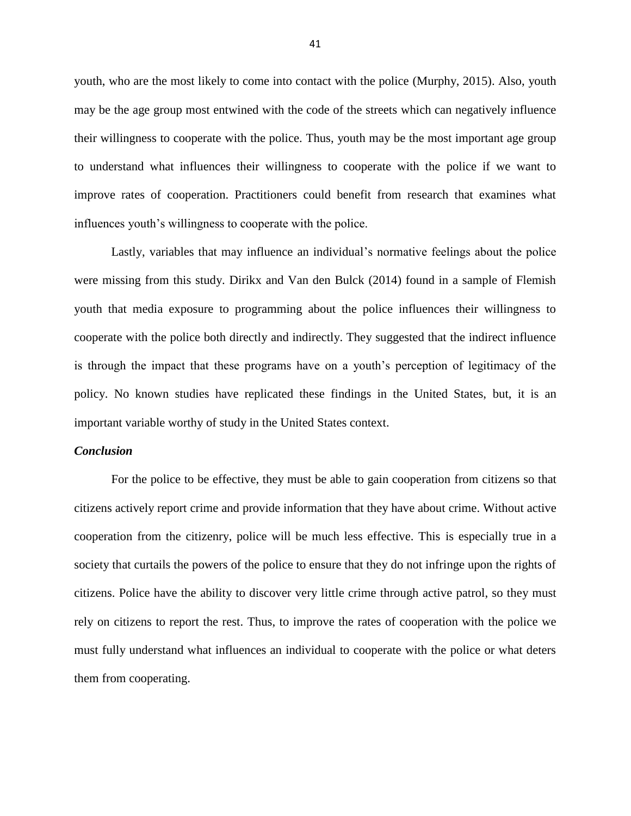youth, who are the most likely to come into contact with the police (Murphy, 2015). Also, youth may be the age group most entwined with the code of the streets which can negatively influence their willingness to cooperate with the police. Thus, youth may be the most important age group to understand what influences their willingness to cooperate with the police if we want to improve rates of cooperation. Practitioners could benefit from research that examines what influences youth's willingness to cooperate with the police.

Lastly, variables that may influence an individual's normative feelings about the police were missing from this study. Dirikx and Van den Bulck (2014) found in a sample of Flemish youth that media exposure to programming about the police influences their willingness to cooperate with the police both directly and indirectly. They suggested that the indirect influence is through the impact that these programs have on a youth's perception of legitimacy of the policy. No known studies have replicated these findings in the United States, but, it is an important variable worthy of study in the United States context.

#### *Conclusion*

For the police to be effective, they must be able to gain cooperation from citizens so that citizens actively report crime and provide information that they have about crime. Without active cooperation from the citizenry, police will be much less effective. This is especially true in a society that curtails the powers of the police to ensure that they do not infringe upon the rights of citizens. Police have the ability to discover very little crime through active patrol, so they must rely on citizens to report the rest. Thus, to improve the rates of cooperation with the police we must fully understand what influences an individual to cooperate with the police or what deters them from cooperating.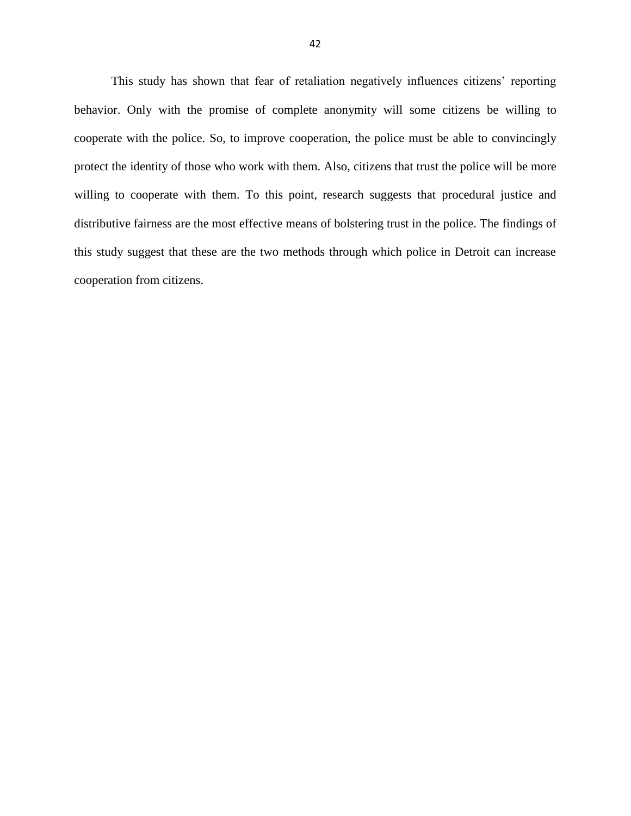This study has shown that fear of retaliation negatively influences citizens' reporting behavior. Only with the promise of complete anonymity will some citizens be willing to cooperate with the police. So, to improve cooperation, the police must be able to convincingly protect the identity of those who work with them. Also, citizens that trust the police will be more willing to cooperate with them. To this point, research suggests that procedural justice and distributive fairness are the most effective means of bolstering trust in the police. The findings of this study suggest that these are the two methods through which police in Detroit can increase cooperation from citizens.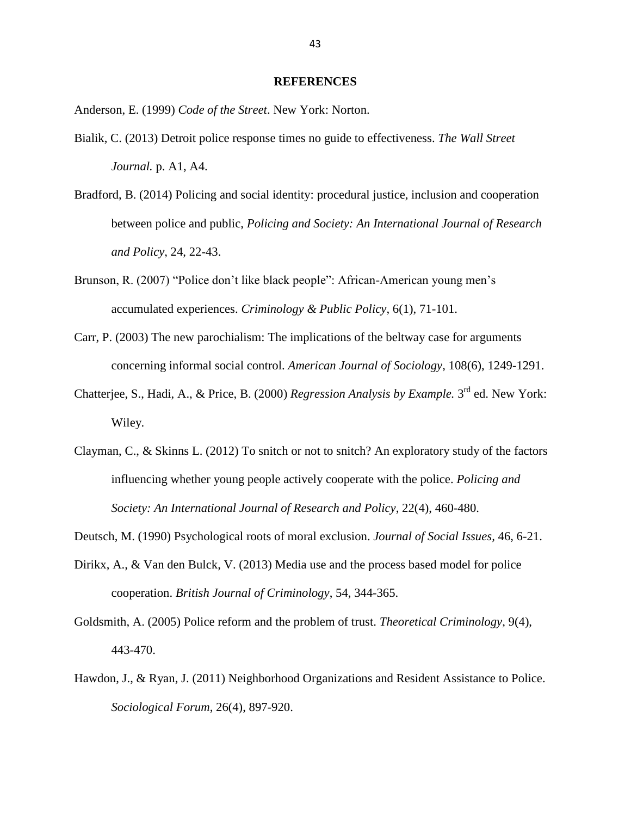#### **REFERENCES**

Anderson, E. (1999) *Code of the Street*. New York: Norton.

- Bialik, C. (2013) Detroit police response times no guide to effectiveness. *The Wall Street Journal.* p. A1, A4.
- Bradford, B. (2014) Policing and social identity: procedural justice, inclusion and cooperation between police and public, *Policing and Society: An International Journal of Research and Policy*, 24, 22-43.
- Brunson, R. (2007) "Police don't like black people": African-American young men's accumulated experiences. *Criminology & Public Policy*, 6(1), 71-101.
- Carr, P. (2003) The new parochialism: The implications of the beltway case for arguments concerning informal social control. *American Journal of Sociology*, 108(6), 1249-1291.
- Chatterjee, S., Hadi, A., & Price, B. (2000) *Regression Analysis by Example*. 3<sup>rd</sup> ed. New York: Wiley.
- Clayman, C., & Skinns L. (2012) To snitch or not to snitch? An exploratory study of the factors influencing whether young people actively cooperate with the police. *Policing and Society: An International Journal of Research and Policy*, 22(4), 460-480.

Deutsch, M. (1990) Psychological roots of moral exclusion. *Journal of Social Issues,* 46, 6-21.

- Dirikx, A., & Van den Bulck, V. (2013) Media use and the process based model for police cooperation. *British Journal of Criminology*, 54, 344-365.
- Goldsmith, A. (2005) Police reform and the problem of trust. *Theoretical Criminology*, 9(4), 443-470.
- Hawdon, J., & Ryan, J. (2011) Neighborhood Organizations and Resident Assistance to Police. *Sociological Forum*, 26(4), 897-920.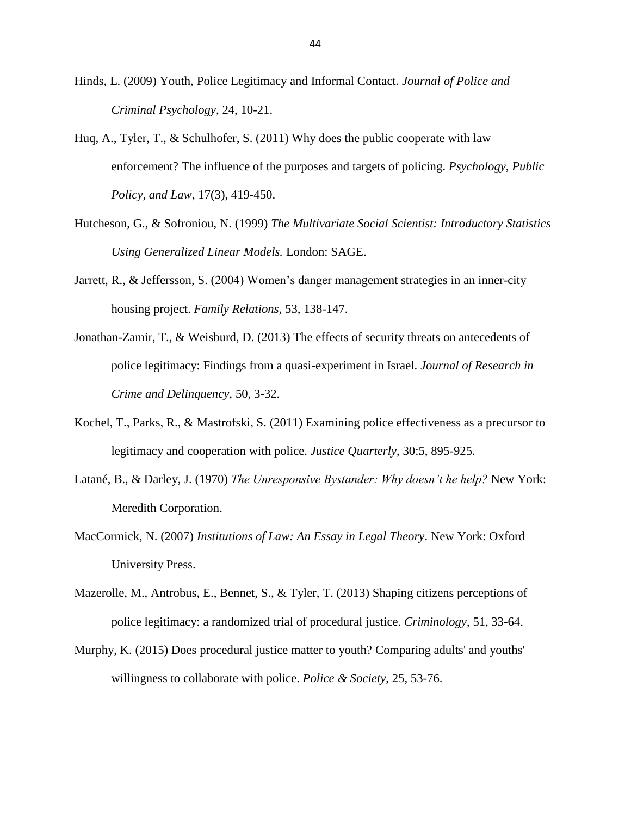- Hinds, L. (2009) Youth, Police Legitimacy and Informal Contact. *Journal of Police and Criminal Psychology*, 24, 10-21.
- Huq, A., Tyler, T., & Schulhofer, S. (2011) Why does the public cooperate with law enforcement? The influence of the purposes and targets of policing. *Psychology, Public Policy, and Law*, 17(3), 419-450.
- Hutcheson, G., & Sofroniou, N. (1999) *The Multivariate Social Scientist: Introductory Statistics Using Generalized Linear Models.* London: SAGE.
- Jarrett, R., & Jeffersson, S. (2004) Women's danger management strategies in an inner-city housing project. *Family Relations,* 53, 138-147.
- Jonathan-Zamir, T., & Weisburd, D. (2013) The effects of security threats on antecedents of police legitimacy: Findings from a quasi-experiment in Israel. *Journal of Research in Crime and Delinquency*, 50, 3-32.
- Kochel, T., Parks, R., & Mastrofski, S. (2011) Examining police effectiveness as a precursor to legitimacy and cooperation with police. *Justice Quarterly*, 30:5, 895-925.
- Latané, B., & Darley, J. (1970) *The Unresponsive Bystander: Why doesn't he help?* New York: Meredith Corporation.
- MacCormick, N. (2007) *Institutions of Law: An Essay in Legal Theory*. New York: Oxford University Press.
- Mazerolle, M., Antrobus, E., Bennet, S., & Tyler, T. (2013) Shaping citizens perceptions of police legitimacy: a randomized trial of procedural justice. *Criminology*, 51, 33-64.
- Murphy, K. (2015) Does procedural justice matter to youth? Comparing adults' and youths' willingness to collaborate with police. *Police & Society*, 25, 53-76.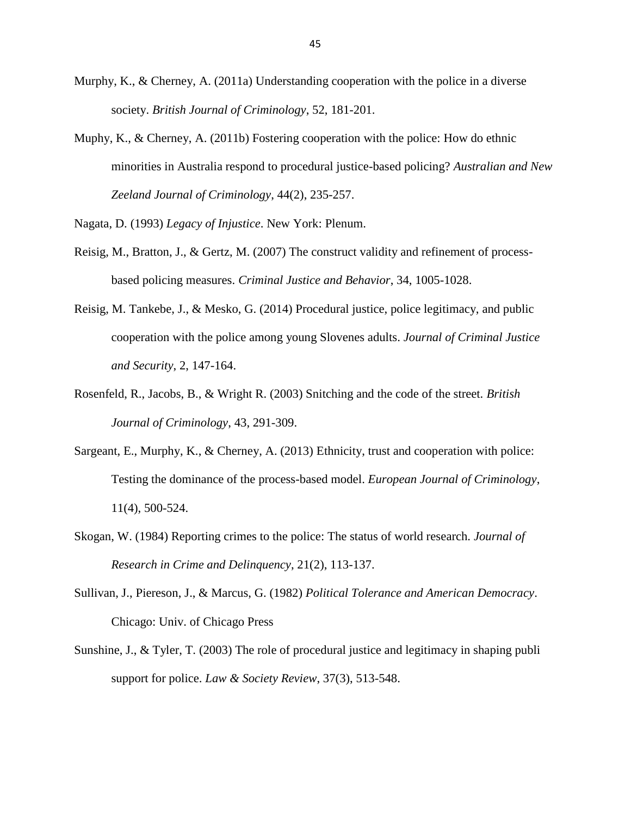- Murphy, K., & Cherney, A. (2011a) Understanding cooperation with the police in a diverse society. *British Journal of Criminology*, 52, 181-201.
- Muphy, K., & Cherney, A. (2011b) Fostering cooperation with the police: How do ethnic minorities in Australia respond to procedural justice-based policing? *Australian and New Zeeland Journal of Criminology*, 44(2), 235-257.

Nagata, D. (1993) *Legacy of Injustice*. New York: Plenum.

- Reisig, M., Bratton, J., & Gertz, M. (2007) The construct validity and refinement of processbased policing measures. *Criminal Justice and Behavior*, 34, 1005-1028.
- Reisig, M. Tankebe, J., & Mesko, G. (2014) Procedural justice, police legitimacy, and public cooperation with the police among young Slovenes adults. *Journal of Criminal Justice and Security*, 2, 147-164.
- Rosenfeld, R., Jacobs, B., & Wright R. (2003) Snitching and the code of the street. *British Journal of Criminology*, 43, 291-309.
- Sargeant, E., Murphy, K., & Cherney, A. (2013) Ethnicity, trust and cooperation with police: Testing the dominance of the process-based model. *European Journal of Criminology*, 11(4), 500-524.
- Skogan, W. (1984) Reporting crimes to the police: The status of world research. *Journal of Research in Crime and Delinquency*, 21(2), 113-137.
- Sullivan, J., Piereson, J., & Marcus, G. (1982) *Political Tolerance and American Democracy*. Chicago: Univ. of Chicago Press
- Sunshine, J., & Tyler, T. (2003) The role of procedural justice and legitimacy in shaping publi support for police. *Law & Society Review*, 37(3), 513-548.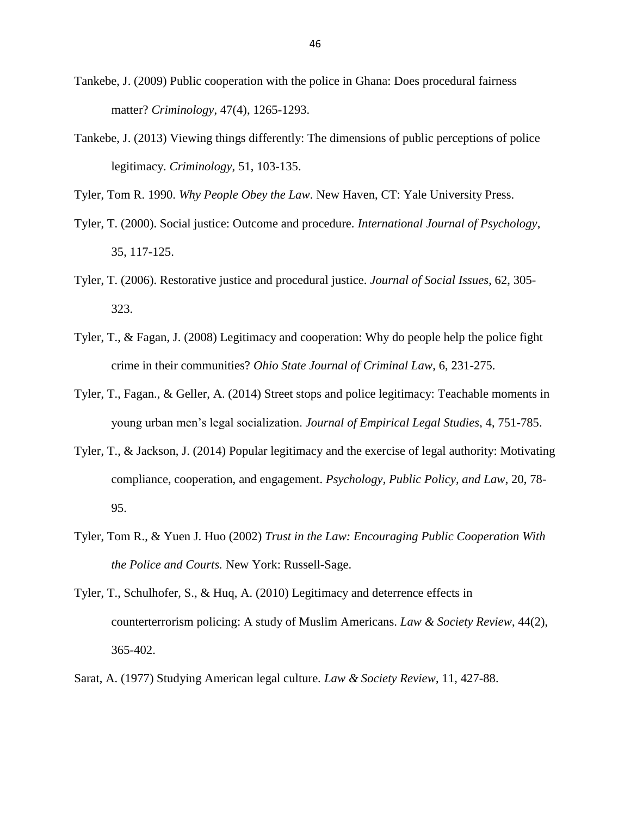- Tankebe, J. (2009) Public cooperation with the police in Ghana: Does procedural fairness matter? *Criminology*, 47(4), 1265-1293.
- Tankebe, J. (2013) Viewing things differently: The dimensions of public perceptions of police legitimacy. *Criminology*, 51, 103-135.

Tyler, Tom R. 1990. *Why People Obey the Law*. New Haven, CT: Yale University Press.

- Tyler, T. (2000). Social justice: Outcome and procedure. *International Journal of Psychology*, 35, 117-125.
- Tyler, T. (2006). Restorative justice and procedural justice. *Journal of Social Issues*, 62, 305- 323.
- Tyler, T., & Fagan, J. (2008) Legitimacy and cooperation: Why do people help the police fight crime in their communities? *Ohio State Journal of Criminal Law*, 6, 231-275.
- Tyler, T., Fagan., & Geller, A. (2014) Street stops and police legitimacy: Teachable moments in young urban men's legal socialization. *Journal of Empirical Legal Studies*, 4, 751-785.
- Tyler, T., & Jackson, J. (2014) Popular legitimacy and the exercise of legal authority: Motivating compliance, cooperation, and engagement. *Psychology, Public Policy, and Law*, 20, 78- 95.
- Tyler, Tom R., & Yuen J. Huo (2002) *Trust in the Law: Encouraging Public Cooperation With the Police and Courts.* New York: Russell-Sage.
- Tyler, T., Schulhofer, S., & Huq, A. (2010) Legitimacy and deterrence effects in counterterrorism policing: A study of Muslim Americans. *Law & Society Review*, 44(2), 365-402.
- Sarat, A. (1977) Studying American legal culture. *Law & Society Review*, 11, 427-88.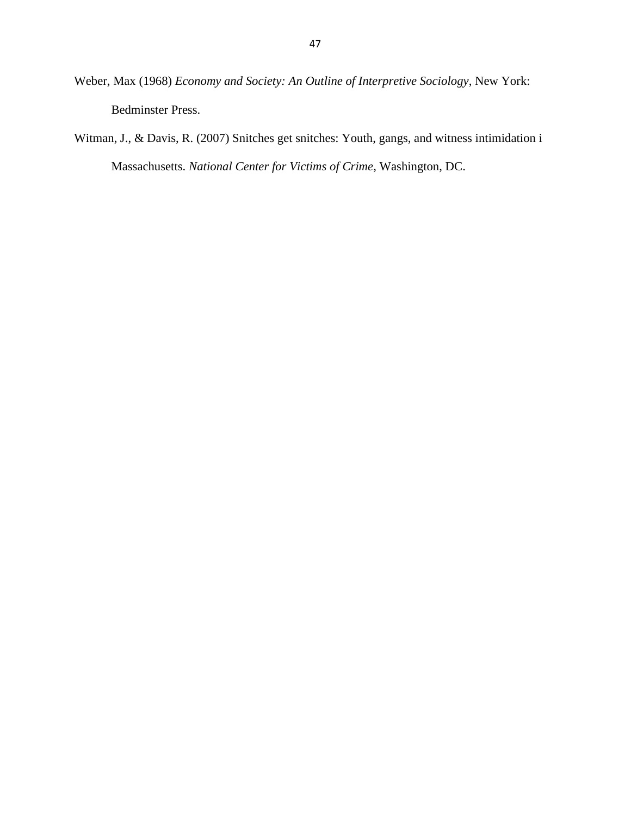- Weber, Max (1968) *Economy and Society: An Outline of Interpretive Sociology*, New York: Bedminster Press.
- Witman, J., & Davis, R. (2007) Snitches get snitches: Youth, gangs, and witness intimidation i Massachusetts. *National Center for Victims of Crime*, Washington, DC.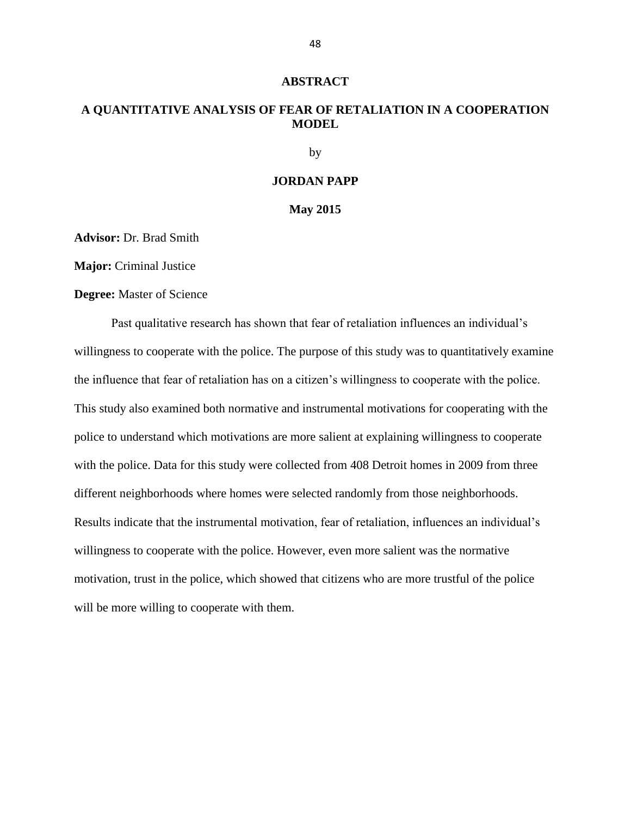#### **ABSTRACT**

### **A QUANTITATIVE ANALYSIS OF FEAR OF RETALIATION IN A COOPERATION MODEL**

by

#### **JORDAN PAPP**

#### **May 2015**

**Advisor:** Dr. Brad Smith

**Major:** Criminal Justice

**Degree:** Master of Science

Past qualitative research has shown that fear of retaliation influences an individual's willingness to cooperate with the police. The purpose of this study was to quantitatively examine the influence that fear of retaliation has on a citizen's willingness to cooperate with the police. This study also examined both normative and instrumental motivations for cooperating with the police to understand which motivations are more salient at explaining willingness to cooperate with the police. Data for this study were collected from 408 Detroit homes in 2009 from three different neighborhoods where homes were selected randomly from those neighborhoods. Results indicate that the instrumental motivation, fear of retaliation, influences an individual's willingness to cooperate with the police. However, even more salient was the normative motivation, trust in the police, which showed that citizens who are more trustful of the police will be more willing to cooperate with them.